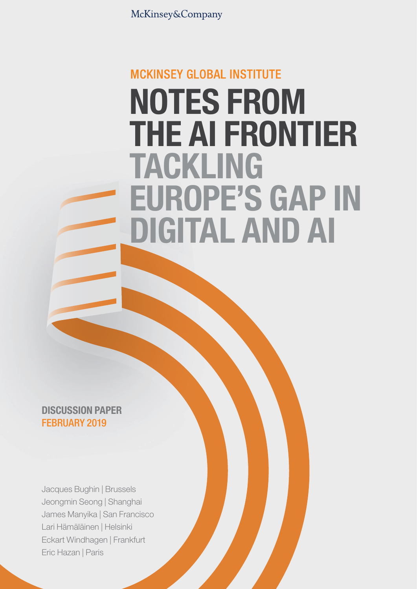McKinsey&Company

# **MCKINSEY GLOBAL INSTITUTE** NOTES FROM THE AI FRONTIER TACKLING EUROPE'S GAP IN DIGITAL AND AI

DISCUSSION PAPER FEBRUARY 2019

Jacques Bughin | Brussels Jeongmin Seong | Shanghai James Manyika | San Francisco Lari Hämäläinen | Helsinki Eckart Windhagen | Frankfurt Eric Hazan | Paris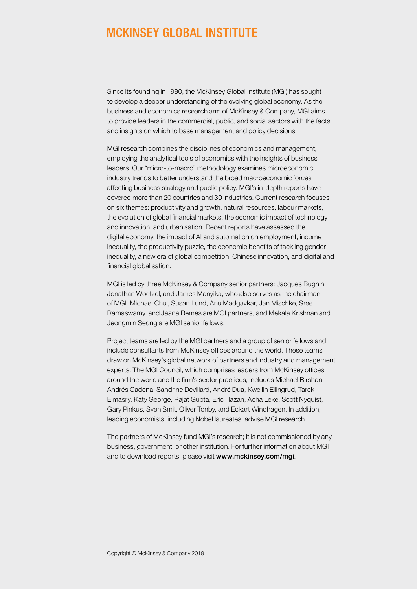# **MCKINSEY GLOBAL INSTITUTE**

Since its founding in 1990, the McKinsey Global Institute (MGI) has sought to develop a deeper understanding of the evolving global economy. As the business and economics research arm of McKinsey & Company, MGI aims to provide leaders in the commercial, public, and social sectors with the facts and insights on which to base management and policy decisions.

MGI research combines the disciplines of economics and management, employing the analytical tools of economics with the insights of business leaders. Our "micro-to-macro" methodology examines microeconomic industry trends to better understand the broad macroeconomic forces affecting business strategy and public policy. MGI's in-depth reports have covered more than 20 countries and 30 industries. Current research focuses on six themes: productivity and growth, natural resources, labour markets, the evolution of global financial markets, the economic impact of technology and innovation, and urbanisation. Recent reports have assessed the digital economy, the impact of AI and automation on employment, income inequality, the productivity puzzle, the economic benefits of tackling gender inequality, a new era of global competition, Chinese innovation, and digital and financial globalisation.

MGI is led by three McKinsey & Company senior partners: Jacques Bughin, Jonathan Woetzel, and James Manyika, who also serves as the chairman of MGI. Michael Chui, Susan Lund, Anu Madgavkar, Jan Mischke, Sree Ramaswamy, and Jaana Remes are MGI partners, and Mekala Krishnan and Jeongmin Seong are MGI senior fellows.

Project teams are led by the MGI partners and a group of senior fellows and include consultants from McKinsey offices around the world. These teams draw on McKinsey's global network of partners and industry and management experts. The MGI Council, which comprises leaders from McKinsey offices around the world and the firm's sector practices, includes Michael Birshan, Andrés Cadena, Sandrine Devillard, André Dua, Kweilin Ellingrud, Tarek Elmasry, Katy George, Rajat Gupta, Eric Hazan, Acha Leke, Scott Nyquist, Gary Pinkus, Sven Smit, Oliver Tonby, and Eckart Windhagen. In addition, leading economists, including Nobel laureates, advise MGI research.

The partners of McKinsey fund MGI's research; it is not commissioned by any business, government, or other institution. For further information about MGI and to download reports, please visit [www.mckinsey.com/mgi](http://www.mckinsey.com/mgi).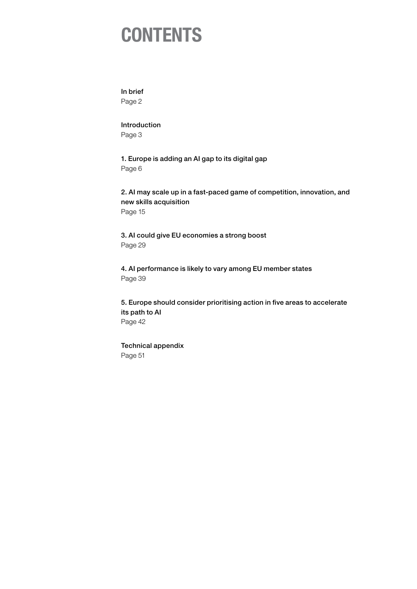# **CONTENTS**

[In brief](#page-3-0)

[Page 2](#page-3-0)

[Introduction](#page-4-0) [Page 3](#page-4-0)

[1. Europe is adding an AI gap to its digital gap](#page-7-0) [Page 6](#page-7-0)

[2. AI may scale up in a fast-paced game of competition, innovation, and](#page-16-0)  [new skills acquisition](#page-16-0) [Page 15](#page-16-0)

[3. AI could give EU economies a strong boost](#page-30-0) [Page 29](#page-30-0)

[4. AI performance is likely to vary among EU member states](#page-40-0) [Page 39](#page-40-0)

[5. Europe should consider prioritising action in five areas to accelerate](#page-43-0)  [its path to AI](#page-43-0) [Page 42](#page-43-0)

[Technical appendix](#page-52-0) [Page 51](#page-52-0)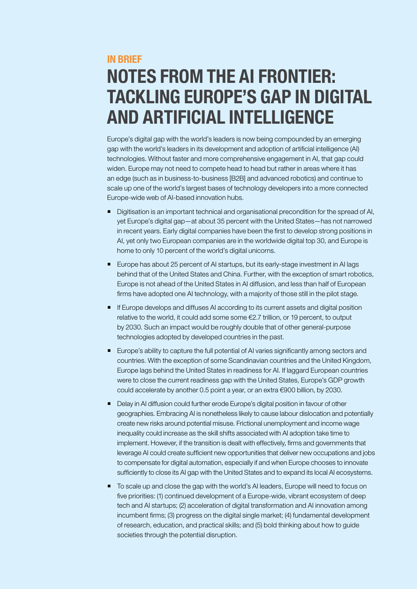# <span id="page-3-0"></span>IN BRIEF

# NOTES FROM THE AI FRONTIER: TACKLING EUROPE'S GAP IN DIGITAL AND ARTIFICIAL INTELLIGENCE

Europe's digital gap with the world's leaders is now being compounded by an emerging gap with the world's leaders in its development and adoption of artificial intelligence (AI) technologies. Without faster and more comprehensive engagement in AI, that gap could widen. Europe may not need to compete head to head but rather in areas where it has an edge (such as in business-to-business [B2B] and advanced robotics) and continue to scale up one of the world's largest bases of technology developers into a more connected Europe-wide web of AI-based innovation hubs.

- Digitisation is an important technical and organisational precondition for the spread of AI, yet Europe's digital gap—at about 35 percent with the United States—has not narrowed in recent years. Early digital companies have been the first to develop strong positions in AI, yet only two European companies are in the worldwide digital top 30, and Europe is home to only 10 percent of the world's digital unicorns.
- Europe has about 25 percent of AI startups, but its early-stage investment in AI lags behind that of the United States and China. Further, with the exception of smart robotics, Europe is not ahead of the United States in AI diffusion, and less than half of European firms have adopted one AI technology, with a majority of those still in the pilot stage.
- **If Europe develops and diffuses AI according to its current assets and digital position** relative to the world, it could add some some €2.7 trillion, or 19 percent, to output by 2030. Such an impact would be roughly double that of other general-purpose technologies adopted by developed countries in the past.
- **Europe's ability to capture the full potential of AI varies significantly among sectors and** countries. With the exception of some Scandinavian countries and the United Kingdom, Europe lags behind the United States in readiness for AI. If laggard European countries were to close the current readiness gap with the United States, Europe's GDP growth could accelerate by another 0.5 point a year, or an extra €900 billion, by 2030.
- Delay in AI diffusion could further erode Europe's digital position in favour of other geographies. Embracing AI is nonetheless likely to cause labour dislocation and potentially create new risks around potential misuse. Frictional unemployment and income wage inequality could increase as the skill shifts associated with AI adoption take time to implement. However, if the transition is dealt with effectively, firms and governments that leverage AI could create sufficient new opportunities that deliver new occupations and jobs to compensate for digital automation, especially if and when Europe chooses to innovate sufficiently to close its AI gap with the United States and to expand its local AI ecosystems.
- To scale up and close the gap with the world's AI leaders, Europe will need to focus on five priorities: (1) continued development of a Europe-wide, vibrant ecosystem of deep tech and AI startups; (2) acceleration of digital transformation and AI innovation among incumbent firms; (3) progress on the digital single market; (4) fundamental development of research, education, and practical skills; and (5) bold thinking about how to guide societies through the potential disruption.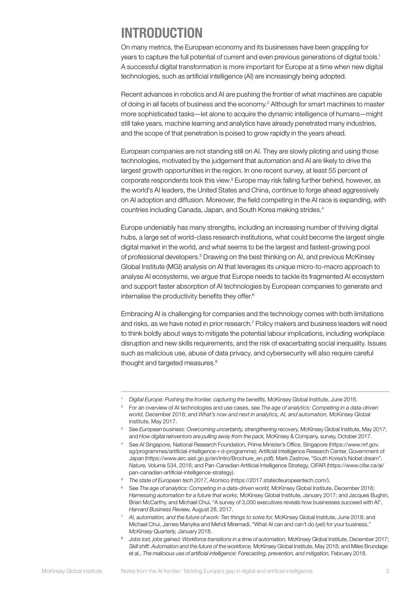# <span id="page-4-0"></span>INTRODUCTION

On many metrics, the European economy and its businesses have been grappling for years to capture the full potential of current and even previous generations of digital tools.<sup>1</sup> A successful digital transformation is more important for Europe at a time when new digital technologies, such as artificial intelligence (AI) are increasingly being adopted.

Recent advances in robotics and AI are pushing the frontier of what machines are capable of doing in all facets of business and the economy.<sup>2</sup> Although for smart machines to master more sophisticated tasks—let alone to acquire the dynamic intelligence of humans—might still take years, machine learning and analytics have already penetrated many industries, and the scope of that penetration is poised to grow rapidly in the years ahead.

European companies are not standing still on AI. They are slowly piloting and using those technologies, motivated by the judgement that automation and AI are likely to drive the largest growth opportunities in the region. In one recent survey, at least 55 percent of corporate respondents took this view.<sup>3</sup> Europe may risk falling further behind, however, as the world's AI leaders, the United States and China, continue to forge ahead aggressively on AI adoption and diffusion. Moreover, the field competing in the AI race is expanding, with countries including Canada, Japan, and South Korea making strides.4

Europe undeniably has many strengths, including an increasing number of thriving digital hubs, a large set of world-class research institutions, what could become the largest single digital market in the world, and what seems to be the largest and fastest-growing pool of professional developers.<sup>5</sup> Drawing on the best thinking on AI, and previous McKinsey Global Institute (MGI) analysis on AI that leverages its unique micro-to-macro approach to analyse AI ecosystems, we argue that Europe needs to tackle its fragmented AI ecosystem and support faster absorption of AI technologies by European companies to generate and internalise the productivity benefits they offer.<sup>6</sup>

Embracing AI is challenging for companies and the technology comes with both limitations and risks, as we have noted in prior research.<sup>7</sup> Policy makers and business leaders will need to think boldly about ways to mitigate the potential labour implications, including workplace disruption and new skills requirements, and the risk of exacerbating social inequality. Issues such as malicious use, abuse of data privacy, and cybersecurity will also require careful thought and targeted measures.<sup>8</sup>

<sup>1</sup> *Digital Europe: Pushing the frontier, capturing the benefits,* McKinsey Global Institute, June 2016.

<sup>2</sup> For an overview of AI technologies and use cases, see *The age of analytics: Competing in a data-driven world,* December 2016; and *What's now and next in analytics, AI, and automation,* McKinsey Global Institute, May 2017.

<sup>3</sup> See *European business: Overcoming uncertainty, strengthening recovery,* McKinsey Global Institute, May 2017; and *How digital reinventors are pulling away from the pack,* McKinsey & Company, survey, October 2017.

<sup>4</sup> See *AI Singapore,* National Research Foundation, Prime Minister's Office, Singapore (https://www.nrf.gov. sg/programmes/artificial-intelligence-r-d-programme); Artificial Intelligence Research Center, Government of Japan (https://www.airc.aist.go.jp/en/intro/Brochure\_en.pdf); Mark Zastrow, "South Korea's Nobel dream", *Nature,* Volume 534, 2016; and Pan-Canadian Artificial Intelligence Strategy, CIFAR (https://www.cifar.ca/ai/ pan-canadian-artificial-intelligence-strategy).

<sup>5</sup> *The state of European tech 2017,* Atomico (https://2017.stateofeuropeantech.com/).

<sup>&</sup>lt;sup>6</sup> See *The age of analytics: Competing in a data-driven world, McKinsey Global Institute, December 2016; Harnessing automation for a future that works,* McKinsey Global Institute, January 2017; and Jacques Bughin, Brian McCarthy, and Michael Chui, "A survey of 3,000 executives reveals how businesses succeed with AI", *Harvard Business Review,* August 28, 2017.

<sup>7</sup> *AI, automation, and the future of work: Ten things to solve for,* McKinsey Global Institute, June 2018; and Michael Chui, James Manyika and Mehdi Miremadi, "What AI can and can't do (yet) for your business," *McKinsey Quarterly,* January 2018.

<sup>8</sup> *Jobs lost, jobs gained: Workforce transitions in a time of automation,* McKinsey Global Institute, December 2017; *Skill shift: Automation and the future of the workforce,* McKinsey Global Institute, May 2018; and Miles Brundage et al., *The malicious use of artificial intelligence: Forecasting, prevention, and mitigation,* February 2018.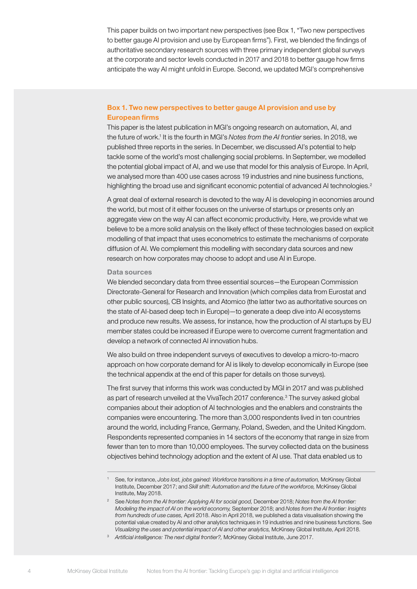This paper builds on two important new perspectives (see Box 1, "Two new perspectives to better gauge AI provision and use by European firms"). First, we blended the findings of authoritative secondary research sources with three primary independent global surveys at the corporate and sector levels conducted in 2017 and 2018 to better gauge how firms anticipate the way AI might unfold in Europe. Second, we updated MGI's comprehensive

# Box 1. Two new perspectives to better gauge AI provision and use by European firms

This paper is the latest publication in MGI's ongoing research on automation, AI, and the future of work.<sup>1</sup> It is the fourth in MGI's *Notes from the AI frontier* series. In 2018, we published three reports in the series. In December, we discussed AI's potential to help tackle some of the world's most challenging social problems. In September, we modelled the potential global impact of AI, and we use that model for this analysis of Europe. In April, we analysed more than 400 use cases across 19 industries and nine business functions, highlighting the broad use and significant economic potential of advanced AI technologies.<sup>2</sup>

A great deal of external research is devoted to the way AI is developing in economies around the world, but most of it either focuses on the universe of startups or presents only an aggregate view on the way AI can affect economic productivity. Here, we provide what we believe to be a more solid analysis on the likely effect of these technologies based on explicit modelling of that impact that uses econometrics to estimate the mechanisms of corporate diffusion of AI. We complement this modelling with secondary data sources and new research on how corporates may choose to adopt and use AI in Europe.

#### Data sources

We blended secondary data from three essential sources—the European Commission Directorate-General for Research and Innovation (which compiles data from Eurostat and other public sources), CB Insights, and Atomico (the latter two as authoritative sources on the state of AI-based deep tech in Europe)—to generate a deep dive into AI ecosystems and produce new results. We assess, for instance, how the production of AI startups by EU member states could be increased if Europe were to overcome current fragmentation and develop a network of connected AI innovation hubs.

We also build on three independent surveys of executives to develop a micro-to-macro approach on how corporate demand for AI is likely to develop economically in Europe (see the technical appendix at the end of this paper for details on those surveys).

The first survey that informs this work was conducted by MGI in 2017 and was published as part of research unveiled at the VivaTech 2017 conference.<sup>3</sup> The survey asked global companies about their adoption of AI technologies and the enablers and constraints the companies were encountering. The more than 3,000 respondents lived in ten countries around the world, including France, Germany, Poland, Sweden, and the United Kingdom. Respondents represented companies in 14 sectors of the economy that range in size from fewer than ten to more than 10,000 employees. The survey collected data on the business objectives behind technology adoption and the extent of AI use. That data enabled us to

<sup>1</sup> See, for instance, *Jobs lost, jobs gained: Workforce transitions in a time of automation,* McKinsey Global Institute, December 2017; and *Skill shift: Automation and the future of the workforce,* McKinsey Global Institute, May 2018.

<sup>2</sup> See *Notes from the AI frontier: Applying AI for social good,* December 2018; *Notes from the AI frontier: Modeling the impact of AI on the world economy,* September 2018; and *Notes from the AI frontier: Insights from hundreds of use cases,* April 2018. Also in April 2018, we published a data visualisation showing the potential value created by AI and other analytics techniques in 19 industries and nine business functions. See *Visualizing the uses and potential impact of AI and other analytics,* McKinsey Global Institute, April 2018.

<sup>3</sup> *Artificial intelligence: The next digital frontier?,* McKinsey Global Institute, June 2017.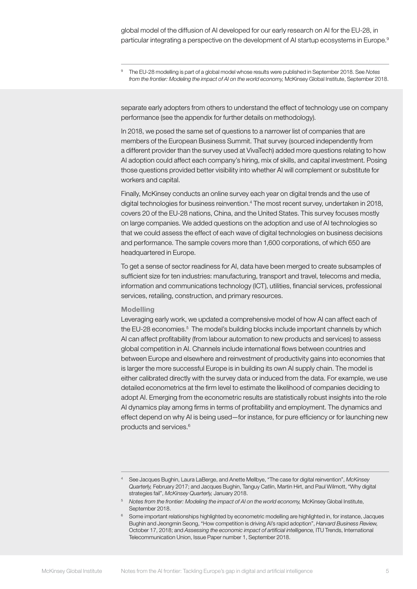<sup>9</sup> The EU-28 modelling is part of a global model whose results were published in September 2018. See *Notes from the frontier: Modeling the impact of AI on the world economy,* McKinsey Global Institute, September 2018.

separate early adopters from others to understand the effect of technology use on company performance (see the appendix for further details on methodology).

In 2018, we posed the same set of questions to a narrower list of companies that are members of the European Business Summit. That survey (sourced independently from a different provider than the survey used at VivaTech) added more questions relating to how AI adoption could affect each company's hiring, mix of skills, and capital investment. Posing those questions provided better visibility into whether AI will complement or substitute for workers and capital.

Finally, McKinsey conducts an online survey each year on digital trends and the use of digital technologies for business reinvention.<sup>4</sup> The most recent survey, undertaken in 2018, covers 20 of the EU-28 nations, China, and the United States. This survey focuses mostly on large companies. We added questions on the adoption and use of AI technologies so that we could assess the effect of each wave of digital technologies on business decisions and performance. The sample covers more than 1,600 corporations, of which 650 are headquartered in Europe.

To get a sense of sector readiness for AI, data have been merged to create subsamples of sufficient size for ten industries: manufacturing, transport and travel, telecoms and media, information and communications technology (ICT), utilities, financial services, professional services, retailing, construction, and primary resources.

#### Modelling

Leveraging early work, we updated a comprehensive model of how AI can affect each of the EU-28 economies.<sup>5</sup> The model's building blocks include important channels by which AI can affect profitability (from labour automation to new products and services) to assess global competition in AI. Channels include international flows between countries and between Europe and elsewhere and reinvestment of productivity gains into economies that is larger the more successful Europe is in building its own AI supply chain. The model is either calibrated directly with the survey data or induced from the data. For example, we use detailed econometrics at the firm level to estimate the likelihood of companies deciding to adopt AI. Emerging from the econometric results are statistically robust insights into the role AI dynamics play among firms in terms of profitability and employment. The dynamics and effect depend on why AI is being used—for instance, for pure efficiency or for launching new products and services.6

<sup>4</sup> See Jacques Bughin, Laura LaBerge, and Anette Mellbye, "The case for digital reinvention", *McKinsey Quarterly,* February 2017; and Jacques Bughin, Tanguy Catlin, Martin Hirt, and Paul Wilmott, "Why digital strategies fail", *McKinsey Quarterly,* January 2018.

<sup>5</sup> *Notes from the frontier: Modeling the impact of AI on the world economy,* McKinsey Global Institute, September 2018.

<sup>&</sup>lt;sup>6</sup> Some important relationships highlighted by econometric modelling are highlighted in, for instance, Jacques Bughin and Jeongmin Seong, "How competition is driving AI's rapid adoption", *Harvard Business Review,* October 17, 2018; and *Assessing the economic impact of artificial intelligence,* ITU Trends, International Telecommunication Union, Issue Paper number 1, September 2018.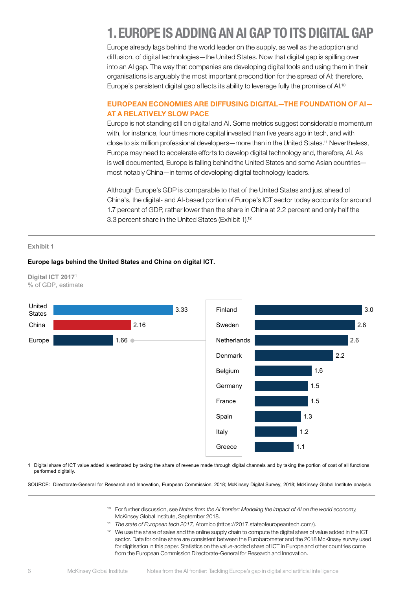# <span id="page-7-0"></span>1. EUROPE IS ADDING AN AI GAP TO ITS DIGITAL GAP

Europe already lags behind the world leader on the supply, as well as the adoption and diffusion, of digital technologies—the United States. Now that digital gap is spilling over into an AI gap. The way that companies are developing digital tools and using them in their organisations is arguably the most important precondition for the spread of AI; therefore, Europe's persistent digital gap affects its ability to leverage fully the promise of AI.<sup>10</sup>

# EUROPEAN ECONOMIES ARE DIFFUSING DIGITAL—THE FOUNDATION OF AI— AT A RELATIVELY SLOW PACE

Europe is not standing still on digital and AI. Some metrics suggest considerable momentum with, for instance, four times more capital invested than five years ago in tech, and with close to six million professional developers—more than in the United States.11 Nevertheless, Europe may need to accelerate efforts to develop digital technology and, therefore, AI. As is well documented, Europe is falling behind the United States and some Asian countries most notably China—in terms of developing digital technology leaders.

Although Europe's GDP is comparable to that of the United States and just ahead of China's, the digital- and AI-based portion of Europe's ICT sector today accounts for around 1.7 percent of GDP, rather lower than the share in China at 2.2 percent and only half the 3.3 percent share in the United States (Exhibit 1).12

#### **Exhibit 1**

#### **Europe lags behind the United States and China on digital ICT.**





1 Digital share of ICT value added is estimated by taking the share of revenue made through digital channels and by taking the portion of cost of all functions performed digitally.

SOURCE: Directorate-General for Research and Innovation, European Commission, 2018; McKinsey Digital Survey, 2018; McKinsey Global Institute analysis

- <sup>10</sup> For further discussion, see *Notes from the AI frontier: Modeling the impact of AI on the world economy,* McKinsey Global Institute, September 2018.
- <sup>11</sup> *The state of European tech 2017,* Atomico (https://2017.stateofeuropeantech.com/).
- <sup>12</sup> We use the share of sales and the online supply chain to compute the digital share of value added in the ICT sector. Data for online share are consistent between the Eurobarometer and the 2018 McKinsey survey used for digitisation in this paper. Statistics on the value-added share of ICT in Europe and other countries come from the European Commission Directorate-General for Research and Innovation.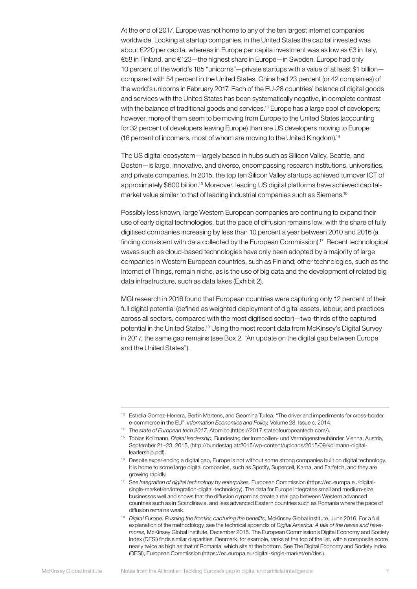At the end of 2017, Europe was not home to any of the ten largest internet companies worldwide. Looking at startup companies, in the United States the capital invested was about €220 per capita, whereas in Europe per capita investment was as low as €3 in Italy, €58 in Finland, and €123—the highest share in Europe—in Sweden. Europe had only 10 percent of the world's 185 "unicorns"—private startups with a value of at least \$1 billion compared with 54 percent in the United States. China had 23 percent (or 42 companies) of the world's unicorns in February 2017. Each of the EU-28 countries' balance of digital goods and services with the United States has been systematically negative, in complete contrast with the balance of traditional goods and services.<sup>13</sup> Europe has a large pool of developers; however, more of them seem to be moving from Europe to the United States (accounting for 32 percent of developers leaving Europe) than are US developers moving to Europe (16 percent of incomers, most of whom are moving to the United Kingdom).14

The US digital ecosystem—largely based in hubs such as Silicon Valley, Seattle, and Boston—is large, innovative, and diverse, encompassing research institutions, universities, and private companies. In 2015, the top ten Silicon Valley startups achieved turnover ICT of approximately \$600 billion.<sup>15</sup> Moreover, leading US digital platforms have achieved capitalmarket value similar to that of leading industrial companies such as Siemens.<sup>16</sup>

Possibly less known, large Western European companies are continuing to expand their use of early digital technologies, but the pace of diffusion remains low, with the share of fully digitised companies increasing by less than 10 percent a year between 2010 and 2016 (a finding consistent with data collected by the European Commission).17 Recent technological waves such as cloud-based technologies have only been adopted by a majority of large companies in Western European countries, such as Finland; other technologies, such as the Internet of Things, remain niche, as is the use of big data and the development of related big data infrastructure, such as data lakes (Exhibit 2).

MGI research in 2016 found that European countries were capturing only 12 percent of their full digital potential (defined as weighted deployment of digital assets, labour, and practices across all sectors, compared with the most digitised sector)—two-thirds of the captured potential in the United States.18 Using the most recent data from McKinsey's Digital Survey in 2017, the same gap remains (see Box 2, "An update on the digital gap between Europe and the United States").

<sup>13</sup> Estrella Gomez-Herrera, Bertin Martens, and Geomina Turlea, "The driver and impediments for cross-border e-commerce in the EU", *Information Economics and Policy,* Volume 28, Issue c, 2014.

<sup>14</sup> *The state of European tech 2017,* Atomico (https://2017.stateofeuropeantech.com/).

<sup>15</sup> Tobias Kollmann, *Digital leadership,* Bundestag der Immobilien- und Vermögenstreuhänder, Vienna, Austria, September 21–23, 2015, (http://bundestag.at/2015/wp-content/uploads/2015/09/kollmann-digitalleadership.pdf).

<sup>&</sup>lt;sup>16</sup> Despite experiencing a digital gap, Europe is not without some strong companies built on digital technology. It is home to some large digital companies, such as Spotify, Supercell, Karna, and Farfetch, and they are growing rapidly.

<sup>17</sup> See *Integration of digital technology by enterprises,* European Commission (https://ec.europa.eu/digitalsingle-market/en/integration-digital-technology). The data for Europe integrates small and medium-size businesses well and shows that the diffusion dynamics create a real gap between Western advanced countries such as in Scandinavia, and less advanced Eastern countries such as Romania where the pace of diffusion remains weak.

<sup>18</sup> *Digital Europe: Pushing the frontier, capturing the benefits,* McKinsey Global Institute, June 2016. For a full explanation of the methodology, see the technical appendix of *Digital America: A tale of the haves and havemores,* McKinsey Global Institute, December 2015. The European Commission's Digital Economy and Society Index (DESI) finds similar disparities. Denmark, for example, ranks at the top of the list, with a composite score nearly twice as high as that of Romania, which sits at the bottom. See The Digital Economy and Society Index (DESI), European Commission (https://ec.europa.eu/digital-single-market/en/desi).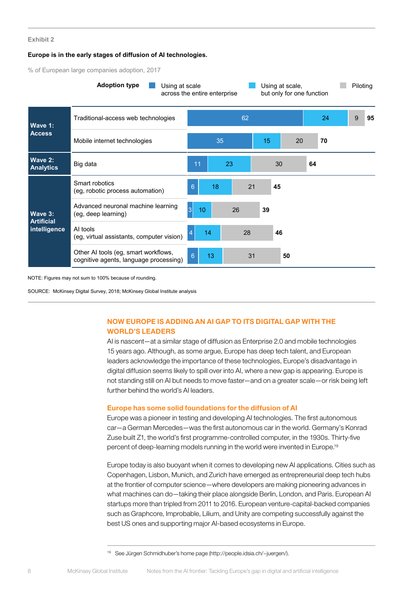#### **Europe is in the early stages of diffusion of AI technologies.**

% of European large companies adoption, 2017



NOTE: Figures may not sum to 100% because of rounding.

SOURCE: McKinsey Digital Survey, 2018; McKinsey Global Institute analysis

# NOW EUROPE IS ADDING AN AI GAP TO ITS DIGITAL GAP WITH THE WORLD'S LEADERS

AI is nascent—at a similar stage of diffusion as Enterprise 2.0 and mobile technologies 15 years ago. Although, as some argue, Europe has deep tech talent, and European leaders acknowledge the importance of these technologies, Europe's disadvantage in digital diffusion seems likely to spill over into AI, where a new gap is appearing. Europe is not standing still on AI but needs to move faster—and on a greater scale—or risk being left further behind the world's AI leaders.

#### Europe has some solid foundations for the diffusion of AI

Europe was a pioneer in testing and developing AI technologies. The first autonomous car—a German Mercedes—was the first autonomous car in the world. Germany's Konrad Zuse built Z1, the world's first programme-controlled computer, in the 1930s. Thirty-five percent of deep-learning models running in the world were invented in Europe.19

Europe today is also buoyant when it comes to developing new AI applications. Cities such as Copenhagen, Lisbon, Munich, and Zurich have emerged as entrepreneurial deep tech hubs at the frontier of computer science—where developers are making pioneering advances in what machines can do—taking their place alongside Berlin, London, and Paris. European AI startups more than tripled from 2011 to 2016. European venture-capital-backed companies such as Graphcore, Improbable, Lilium, and Unity are competing successfully against the best US ones and supporting major AI-based ecosystems in Europe.

<sup>19</sup> See Jürgen Schmidhuber's home page (http://people.idsia.ch/~juergen/).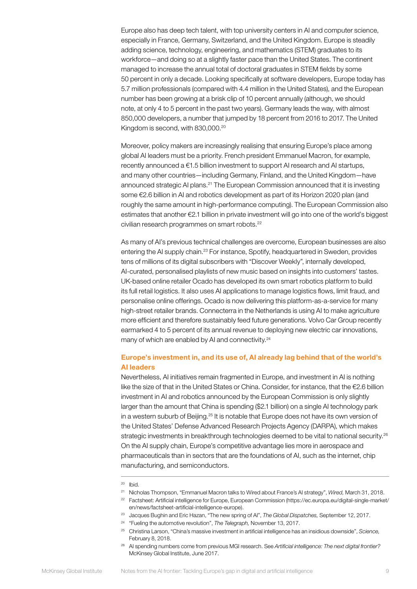Europe also has deep tech talent, with top university centers in AI and computer science, especially in France, Germany, Switzerland, and the United Kingdom. Europe is steadily adding science, technology, engineering, and mathematics (STEM) graduates to its workforce—and doing so at a slightly faster pace than the United States. The continent managed to increase the annual total of doctoral graduates in STEM fields by some 50 percent in only a decade. Looking specifically at software developers, Europe today has 5.7 million professionals (compared with 4.4 million in the United States), and the European number has been growing at a brisk clip of 10 percent annually (although, we should note, at only 4 to 5 percent in the past two years). Germany leads the way, with almost 850,000 developers, a number that jumped by 18 percent from 2016 to 2017. The United Kingdom is second, with 830,000.<sup>20</sup>

Moreover, policy makers are increasingly realising that ensuring Europe's place among global AI leaders must be a priority. French president Emmanuel Macron, for example, recently announced a €1.5 billion investment to support AI research and AI startups, and many other countries—including Germany, Finland, and the United Kingdom—have announced strategic AI plans.21 The European Commission announced that it is investing some €2.6 billion in AI and robotics development as part of its Horizon 2020 plan (and roughly the same amount in high-performance computing). The European Commission also estimates that another €2.1 billion in private investment will go into one of the world's biggest civilian research programmes on smart robots.22

As many of AI's previous technical challenges are overcome, European businesses are also entering the AI supply chain.23 For instance, Spotify, headquartered in Sweden, provides tens of millions of its digital subscribers with "Discover Weekly", internally developed, AI-curated, personalised playlists of new music based on insights into customers' tastes. UK-based online retailer Ocado has developed its own smart robotics platform to build its full retail logistics. It also uses AI applications to manage logistics flows, limit fraud, and personalise online offerings. Ocado is now delivering this platform-as-a-service for many high-street retailer brands. Connecterra in the Netherlands is using AI to make agriculture more efficient and therefore sustainably feed future generations. Volvo Car Group recently earmarked 4 to 5 percent of its annual revenue to deploying new electric car innovations, many of which are enabled by AI and connectivity.<sup>24</sup>

### Europe's investment in, and its use of, AI already lag behind that of the world's AI leaders

Nevertheless, AI initiatives remain fragmented in Europe, and investment in AI is nothing like the size of that in the United States or China. Consider, for instance, that the €2.6 billion investment in AI and robotics announced by the European Commission is only slightly larger than the amount that China is spending (\$2.1 billion) on a single AI technology park in a western suburb of Beijing.<sup>25</sup> It is notable that Europe does not have its own version of the United States' Defense Advanced Research Projects Agency (DARPA), which makes strategic investments in breakthrough technologies deemed to be vital to national security.<sup>26</sup> On the AI supply chain, Europe's competitive advantage lies more in aerospace and pharmaceuticals than in sectors that are the foundations of AI, such as the internet, chip manufacturing, and semiconductors.

- <sup>21</sup> Nicholas Thompson, "Emmanuel Macron talks to Wired about France's AI strategy", *Wired,* March 31, 2018.
- <sup>22</sup> Factsheet: Artificial intelligence for Europe, European Commission (https://ec.europa.eu/digital-single-market/ en/news/factsheet-artificial-intelligence-europe).

- <sup>24</sup> "Fueling the automotive revolution", *The Telegraph,* November 13, 2017.
- <sup>25</sup> Christina Larson, "China's massive investment in artificial intelligence has an insidious downside", *Science,* February 8, 2018.
- <sup>26</sup> AI spending numbers come from previous MGI research. See *Artificial intelligence: The next digital frontier?* McKinsey Global Institute, June 2017.

<sup>20</sup> Ibid.

<sup>23</sup> Jacques Bughin and Eric Hazan, "The new spring of AI", *The Global Dispatches,* September 12, 2017.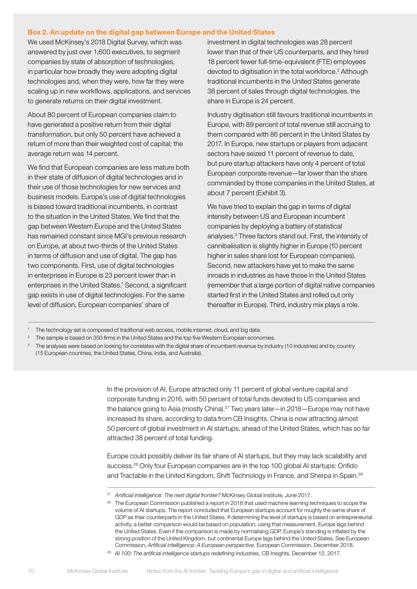#### Box 2. An update on the digital gap between Europe and the United States

We used McKinsey's 2018 Digital Survey, which was answered by just over 1,600 executives, to segment companies by state of absorption of technologies, in particular how broadly they were adopting digital technologies and, when they were, how far they were scaling up in new workflows, applications, and services to generate returns on their digital investment.

About 80 percent of European companies claim to have generated a positive return from their digital transformation, but only 50 percent have achieved a return of more than their weighted cost of capital; the average return was 14 percent.

We find that European companies are less mature both in their state of diffusion of digital technologies and in their use of those technologies for new services and business models. Europe's use of digital technologies is biased toward traditional incumbents, in contrast to the situation in the United States. We find that the gap between Western Europe and the United States has remained constant since MGI's previous research on Europe, at about two-thirds of the United States in terms of diffusion and use of digital. The gap has two components. First, use of digital technologies in enterprises in Europe is 23 percent lower than in enterprises in the United States.<sup>1</sup> Second, a significant gap exists in use of digital technologies. For the same level of diffusion, European companies' share of

investment in digital technologies was 28 percent lower than that of their US counterparts, and they hired 18 percent fewer full-time-equivalent (FTE) employees devoted to digitisation in the total workforce.<sup>2</sup> Although traditional incumbents in the United States generate 38 percent of sales through digital technologies, the share in Europe is 24 percent.

Industry digitisation still favours traditional incumbents in Europe, with 89 percent of total revenue still accruing to them compared with 86 percent in the United States by 2017. In Europe, new startups or players from adjacent sectors have seized 11 percent of revenue to date, but pure startup attackers have only 4 percent of total European corporate revenue—far lower than the share commanded by those companies in the United States, at about 7 percent (Exhibit 3).

We have tried to explain the gap in terms of digital intensity between US and European incumbent companies by deploying a battery of statistical analyses.<sup>3</sup> Three factors stand out. First, the intensity of cannibalisation is slightly higher in Europe (10 percent higher in sales share lost for European companies). Second, new attackers have yet to make the same inroads in industries as have those in the United States (remember that a large portion of digital native companies started first in the United States and rolled out only thereafter in Europe). Third, industry mix plays a role.

In the provision of AI, Europe attracted only 11 percent of global venture capital and corporate funding in 2016, with 50 percent of total funds devoted to US companies and the balance going to Asia (mostly China).<sup>27</sup> Two years later—in 2018—Europe may not have increased its share, according to data from CB Insights. China is now attracting almost 50 percent of global investment in AI startups, ahead of the United States, which has so far attracted 38 percent of total funding.

Europe could possibly deliver its fair share of AI startups, but they may lack scalability and success.<sup>28</sup> Only four European companies are in the top 100 global AI startups: Onfido and Tractable in the United Kingdom, Shift Technology in France, and Sherpa in Spain.<sup>29</sup>

<sup>28</sup> The European Commission published a report in 2018 that used machine learning techniques to scope the volume of AI startups. The report concluded that European startups account for roughly the same share of GDP as their counterparts in the United States. If determining the level of startups is based on entrepreneurial activity, a better comparison would be based on population; using that measurement, Europe lags behind the United States. Even if the comparison is made by normalising GDP, Europe's standing is inflated by the strong position of the United Kingdom, but continental Europe lags behind the United States. See European Commission, *Artificial intelligence: A European perspective,* European Commission, December 2018.

<sup>1</sup> The technology set is composed of traditional web access, mobile internet, cloud, and big data.

<sup>&</sup>lt;sup>2</sup> The sample is based on 350 firms in the United States and the top five Western European economies.

<sup>&</sup>lt;sup>3</sup> The analyses were based on looking for correlates with the digital share of incumbent revenue by industry (10 industries) and by country (15 European countries, the United States, China, India, and Australia).

<sup>27</sup> *Artificial intelligence: The next digital frontier?* McKinsey Global Institute, June 2017.

<sup>29</sup> *AI 100: The artificial intelligence startups redefining industries,* CB Insights, December 12, 2017.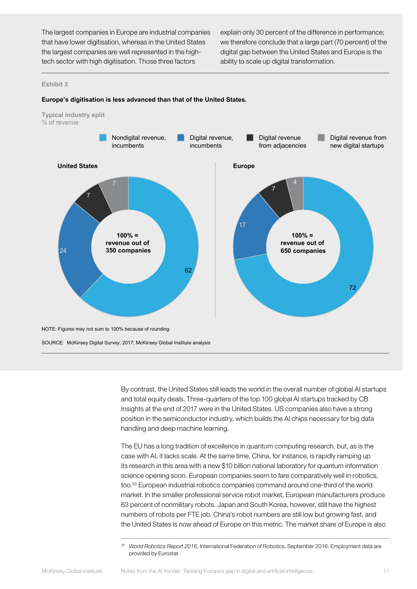The largest companies in Europe are industrial companies that have lower digitisation, whereas in the United States the largest companies are well represented in the hightech sector with high digitisation. Those three factors

explain only 30 percent of the difference in performance; we therefore conclude that a large part (70 percent) of the digital gap between the United States and Europe is the ability to scale up digital transformation.

#### **Exhibit 3**



#### **Europe's digitisation is less advanced than that of the United States.**

By contrast, the United States still leads the world in the overall number of global AI startups and total equity deals. Three-quarters of the top 100 global AI startups tracked by CB Insights at the end of 2017 were in the United States. US companies also have a strong position in the semiconductor industry, which builds the AI chips necessary for big data handling and deep machine learning.

The EU has a long tradition of excellence in quantum computing research, but, as is the case with AI, it lacks scale. At the same time, China, for instance, is rapidly ramping up its research in this area with a new \$10 billion national laboratory for quantum information science opening soon. European companies seem to fare comparatively well in robotics, too.30 European industrial robotics companies command around one-third of the world market. In the smaller professional service robot market, European manufacturers produce 63 percent of nonmilitary robots. Japan and South Korea, however, still have the highest numbers of robots per FTE job. China's robot numbers are still low but growing fast, and the United States is now ahead of Europe on this metric. The market share of Europe is also

<sup>30</sup> *World Robotics Report 2016,* International Federation of Robotics, September 2016. Employment data are provided by Eurostat.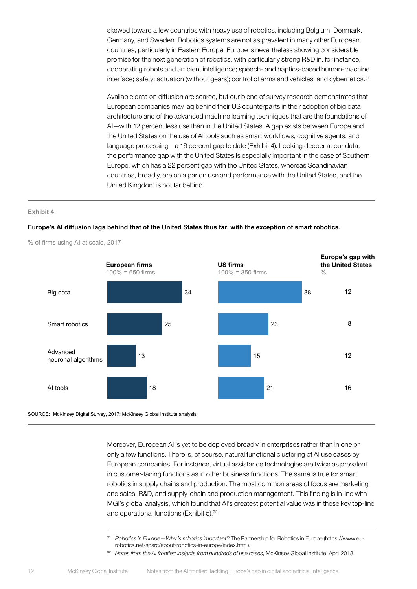skewed toward a few countries with heavy use of robotics, including Belgium, Denmark, Germany, and Sweden. Robotics systems are not as prevalent in many other European countries, particularly in Eastern Europe. Europe is nevertheless showing considerable promise for the next generation of robotics, with particularly strong R&D in, for instance, cooperating robots and ambient intelligence; speech- and haptics-based human-machine interface; safety; actuation (without gears); control of arms and vehicles; and cybernetics.<sup>31</sup>

Available data on diffusion are scarce, but our blend of survey research demonstrates that European companies may lag behind their US counterparts in their adoption of big data architecture and of the advanced machine learning techniques that are the foundations of AI—with 12 percent less use than in the United States. A gap exists between Europe and the United States on the use of AI tools such as smart workflows, cognitive agents, and language processing—a 16 percent gap to date (Exhibit 4). Looking deeper at our data, the performance gap with the United States is especially important in the case of Southern Europe, which has a 22 percent gap with the United States, whereas Scandinavian countries, broadly, are on a par on use and performance with the United States, and the United Kingdom is not far behind.

#### **Exhibit 4**

#### **Europe's AI diffusion lags behind that of the United States thus far, with the exception of smart robotics.**



% of firms using AI at scale, 2017

Moreover, European AI is yet to be deployed broadly in enterprises rather than in one or only a few functions. There is, of course, natural functional clustering of AI use cases by European companies. For instance, virtual assistance technologies are twice as prevalent in customer-facing functions as in other business functions. The same is true for smart robotics in supply chains and production. The most common areas of focus are marketing and sales, R&D, and supply-chain and production management. This finding is in line with MGI's global analysis, which found that AI's greatest potential value was in these key top-line and operational functions (Exhibit 5).<sup>32</sup>

<sup>31</sup> *Robotics in Europe—Why is robotics important?* The Partnership for Robotics in Europe (https://www.eurobotics.net/sparc/about/robotics-in-europe/index.html).

<sup>32</sup> *Notes from the AI frontier: Insights from hundreds of use cases,* McKinsey Global Institute, April 2018.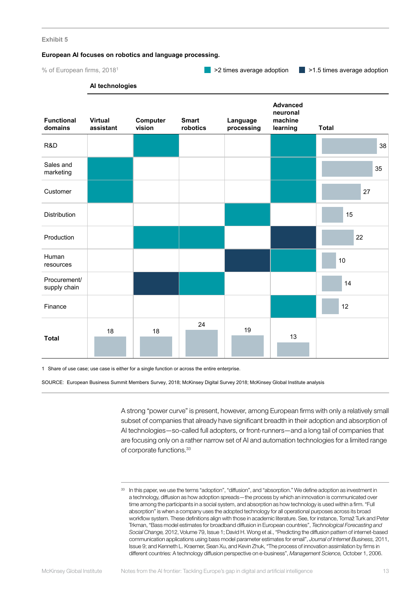#### **European AI focuses on robotics and language processing.**

% of European firms, 20181

 $\blacksquare$  >2 times average adoption  $\blacksquare$  >1.5 times average adoption

#### **AI technologies**

| <b>Functional</b><br>domains | <b>Virtual</b><br>assistant | Computer<br>vision | <b>Smart</b><br>robotics | Language<br>processing | <b>Advanced</b><br>neuronal<br>machine<br>learning | <b>Total</b> |
|------------------------------|-----------------------------|--------------------|--------------------------|------------------------|----------------------------------------------------|--------------|
| R&D                          |                             |                    |                          |                        |                                                    | 38           |
| Sales and<br>marketing       |                             |                    |                          |                        |                                                    | 35           |
| Customer                     |                             |                    |                          |                        |                                                    | 27           |
| Distribution                 |                             |                    |                          |                        |                                                    | 15           |
| Production                   |                             |                    |                          |                        |                                                    | 22           |
| Human<br>resources           |                             |                    |                          |                        |                                                    | $10\,$       |
| Procurement/<br>supply chain |                             |                    |                          |                        |                                                    | 14           |
| Finance                      |                             |                    |                          |                        |                                                    | 12           |
| <b>Total</b>                 | 18                          | $18\,$             | 24                       | 19                     | $13\,$                                             |              |

1 Share of use case; use case is either for a single function or across the entire enterprise.

SOURCE: European Business Summit Members Survey, 2018; McKinsey Digital Survey 2018; McKinsey Global Institute analysis

A strong "power curve" is present, however, among European firms with only a relatively small subset of companies that already have significant breadth in their adoption and absorption of AI technologies—so-called full adopters, or front-runners—and a long tail of companies that are focusing only on a rather narrow set of AI and automation technologies for a limited range of corporate functions.<sup>33</sup>

<sup>33</sup> In this paper, we use the terms "adoption", "diffusion", and "absorption." We define adoption as investment in a technology, diffusion as how adoption spreads—the process by which an innovation is communicated over time among the participants in a social system, and absorption as how technology is used within a firm. "Full absorption" is when a company uses the adopted technology for all operational purposes across its broad workflow system. These definitions align with those in academic literature. See, for instance, Tomaž Turk and Peter Trkman, "Bass model estimates for broadband diffusion in European countries", *Technological Forecasting and Social Change,* 2012, Volume 79, Issue 1; David H. Wong et al., "Predicting the diffusion pattern of internet-based communication applications using bass model parameter estimates for email", *Journal of Internet Business,* 2011, Issue 9; and Kenneth L. Kraemer, Sean Xu, and Kevin Zhuk, "The process of innovation assimilation by firms in different countries: A technology diffusion perspective on e-business", *Management Science,* October 1, 2006.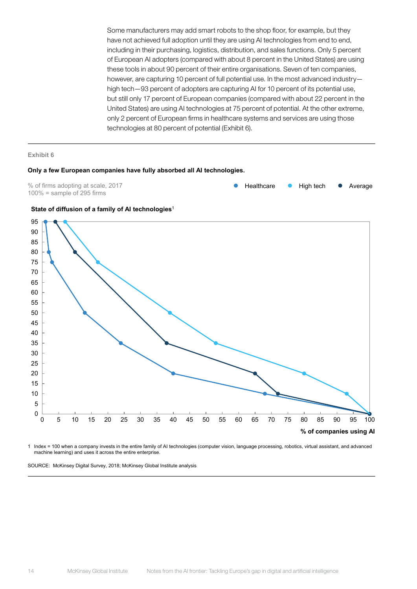Some manufacturers may add smart robots to the shop floor, for example, but they have not achieved full adoption until they are using AI technologies from end to end, including in their purchasing, logistics, distribution, and sales functions. Only 5 percent of European AI adopters (compared with about 8 percent in the United States) are using these tools in about 90 percent of their entire organisations. Seven of ten companies, however, are capturing 10 percent of full potential use. In the most advanced industry high tech—93 percent of adopters are capturing AI for 10 percent of its potential use, but still only 17 percent of European companies (compared with about 22 percent in the United States) are using AI technologies at 75 percent of potential. At the other extreme, only 2 percent of European firms in healthcare systems and services are using those technologies at 80 percent of potential (Exhibit 6).

#### **Exhibit 6**

#### **Only a few European companies have fully absorbed all AI technologies.**

% of firms adopting at scale, 2017  $100%$  = sample of 295 firms







1 Index = 100 when a company invests in the entire family of AI technologies (computer vision, language processing, robotics, virtual assistant, and advanced machine learning) and uses it across the entire enterprise.

SOURCE: McKinsey Digital Survey, 2018; McKinsey Global Institute analysis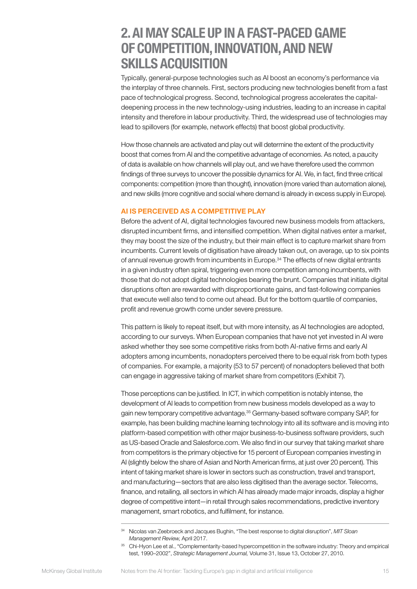# <span id="page-16-0"></span>2. AI MAY SCALE UP IN A FAST-PACED GAME OF COMPETITION, INNOVATION, AND NEW SKILLS ACQUISITION

Typically, general-purpose technologies such as AI boost an economy's performance via the interplay of three channels. First, sectors producing new technologies benefit from a fast pace of technological progress. Second, technological progress accelerates the capitaldeepening process in the new technology-using industries, leading to an increase in capital intensity and therefore in labour productivity. Third, the widespread use of technologies may lead to spillovers (for example, network effects) that boost global productivity.

How those channels are activated and play out will determine the extent of the productivity boost that comes from AI and the competitive advantage of economies. As noted, a paucity of data is available on how channels will play out, and we have therefore used the common findings of three surveys to uncover the possible dynamics for AI. We, in fact, find three critical components: competition (more than thought), innovation (more varied than automation alone), and new skills (more cognitive and social where demand is already in excess supply in Europe).

### AI IS PERCEIVED AS A COMPETITIVE PLAY

Before the advent of AI, digital technologies favoured new business models from attackers, disrupted incumbent firms, and intensified competition. When digital natives enter a market, they may boost the size of the industry, but their main effect is to capture market share from incumbents. Current levels of digitisation have already taken out, on average, up to six points of annual revenue growth from incumbents in Europe.34 The effects of new digital entrants in a given industry often spiral, triggering even more competition among incumbents, with those that do not adopt digital technologies bearing the brunt. Companies that initiate digital disruptions often are rewarded with disproportionate gains, and fast-following companies that execute well also tend to come out ahead. But for the bottom quartile of companies, profit and revenue growth come under severe pressure.

This pattern is likely to repeat itself, but with more intensity, as AI technologies are adopted, according to our surveys. When European companies that have not yet invested in AI were asked whether they see some competitive risks from both AI-native firms and early AI adopters among incumbents, nonadopters perceived there to be equal risk from both types of companies. For example, a majority (53 to 57 percent) of nonadopters believed that both can engage in aggressive taking of market share from competitors (Exhibit 7).

Those perceptions can be justified. In ICT, in which competition is notably intense, the development of AI leads to competition from new business models developed as a way to gain new temporary competitive advantage.35 Germany-based software company SAP, for example, has been building machine learning technology into all its software and is moving into platform-based competition with other major business-to-business software providers, such as US-based Oracle and Salesforce.com. We also find in our survey that taking market share from competitors is the primary objective for 15 percent of European companies investing in AI (slightly below the share of Asian and North American firms, at just over 20 percent). This intent of taking market share is lower in sectors such as construction, travel and transport, and manufacturing—sectors that are also less digitised than the average sector. Telecoms, finance, and retailing, all sectors in which AI has already made major inroads, display a higher degree of competitive intent—in retail through sales recommendations, predictive inventory management, smart robotics, and fulfilment, for instance.

<sup>34</sup> Nicolas van Zeebroeck and Jacques Bughin, "The best response to digital disruption", *MIT Sloan Management Review,* April 2017.

<sup>&</sup>lt;sup>35</sup> Chi-Hyon Lee et al., "Complementarity-based hypercompetition in the software industry: Theory and empirical test, 1990–2002", *Strategic Management Journal,* Volume 31, Issue 13, October 27, 2010.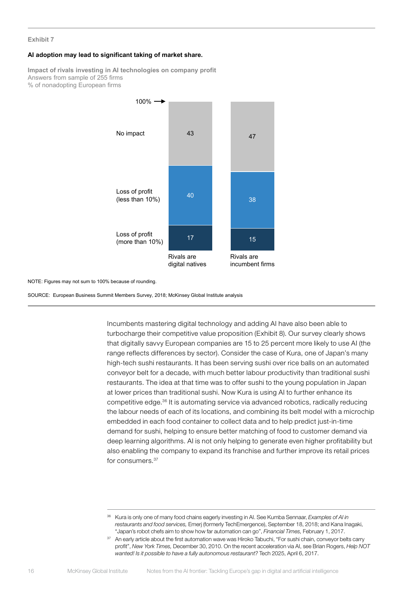#### **AI adoption may lead to significant taking of market share.**

**Impact of rivals investing in AI technologies on company profit** Answers from sample of 255 firms % of nonadopting European firms



NOTE: Figures may not sum to 100% because of rounding.

SOURCE: European Business Summit Members Survey, 2018; McKinsey Global Institute analysis

Incumbents mastering digital technology and adding AI have also been able to turbocharge their competitive value proposition (Exhibit 8). Our survey clearly shows that digitally savvy European companies are 15 to 25 percent more likely to use AI (the range reflects differences by sector). Consider the case of Kura, one of Japan's many high-tech sushi restaurants. It has been serving sushi over rice balls on an automated conveyor belt for a decade, with much better labour productivity than traditional sushi restaurants. The idea at that time was to offer sushi to the young population in Japan at lower prices than traditional sushi. Now Kura is using AI to further enhance its competitive edge.36 It is automating service via advanced robotics, radically reducing the labour needs of each of its locations, and combining its belt model with a microchip embedded in each food container to collect data and to help predict just-in-time demand for sushi, helping to ensure better matching of food to customer demand via deep learning algorithms. AI is not only helping to generate even higher profitability but also enabling the company to expand its franchise and further improve its retail prices for consumers.<sup>37</sup>

<sup>36</sup> Kura is only one of many food chains eagerly investing in AI. See Kumba Sennaar, *Examples of AI in restaurants and food services,* Emerj (formerly TechEmergence), September 18, 2018; and Kana Inagaki, "Japan's robot chefs aim to show how far automation can go", *Financial Times,* February 1, 2017.

<sup>&</sup>lt;sup>37</sup> An early article about the first automation wave was Hiroko Tabuchi, "For sushi chain, conveyor belts carry profit", *New York Times,* December 30, 2010. On the recent acceleration via AI, see Brian Rogers, *Help NOT wanted! Is it possible to have a fully autonomous restaurant?* Tech 2025, April 6, 2017.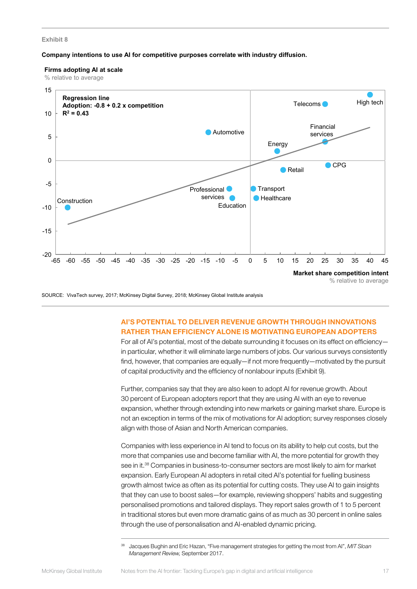#### **Company intentions to use AI for competitive purposes correlate with industry diffusion.**

#### **Firms adopting AI at scale**

% relative to average



SOURCE: VivaTech survey, 2017; McKinsey Digital Survey, 2018; McKinsey Global Institute analysis

# AI'S POTENTIAL TO DELIVER REVENUE GROWTH THROUGH INNOVATIONS RATHER THAN EFFICIENCY ALONE IS MOTIVATING EUROPEAN ADOPTERS

For all of AI's potential, most of the debate surrounding it focuses on its effect on efficiency in particular, whether it will eliminate large numbers of jobs. Our various surveys consistently find, however, that companies are equally—if not more frequently—motivated by the pursuit of capital productivity and the efficiency of nonlabour inputs (Exhibit 9).

Further, companies say that they are also keen to adopt AI for revenue growth. About 30 percent of European adopters report that they are using AI with an eye to revenue expansion, whether through extending into new markets or gaining market share. Europe is not an exception in terms of the mix of motivations for AI adoption; survey responses closely align with those of Asian and North American companies.

Companies with less experience in AI tend to focus on its ability to help cut costs, but the more that companies use and become familiar with AI, the more potential for growth they see in it.<sup>38</sup> Companies in business-to-consumer sectors are most likely to aim for market expansion. Early European AI adopters in retail cited AI's potential for fuelling business growth almost twice as often as its potential for cutting costs. They use AI to gain insights that they can use to boost sales—for example, reviewing shoppers' habits and suggesting personalised promotions and tailored displays. They report sales growth of 1 to 5 percent in traditional stores but even more dramatic gains of as much as 30 percent in online sales through the use of personalisation and AI-enabled dynamic pricing.

<sup>38</sup> Jacques Bughin and Eric Hazan, "Five management strategies for getting the most from AI", *MIT Sloan Management Review,* September 2017.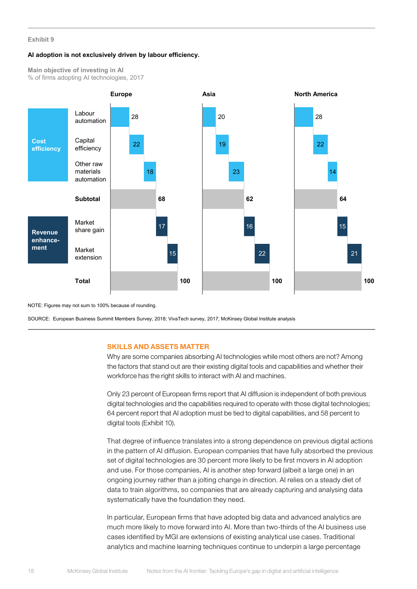#### **AI adoption is not exclusively driven by labour efficiency.**

**Main objective of investing in AI** % of firms adopting AI technologies, 2017



NOTE: Figures may not sum to 100% because of rounding.

SOURCE: European Business Summit Members Survey, 2018; VivaTech survey, 2017; McKinsey Global Institute analysis

#### SKILLS AND ASSETS MATTER

Why are some companies absorbing AI technologies while most others are not? Among the factors that stand out are their existing digital tools and capabilities and whether their workforce has the right skills to interact with AI and machines.

Only 23 percent of European firms report that AI diffusion is independent of both previous digital technologies and the capabilities required to operate with those digital technologies; 64 percent report that AI adoption must be tied to digital capabilities, and 58 percent to digital tools (Exhibit 10).

That degree of influence translates into a strong dependence on previous digital actions in the pattern of AI diffusion. European companies that have fully absorbed the previous set of digital technologies are 30 percent more likely to be first movers in AI adoption and use. For those companies, AI is another step forward (albeit a large one) in an ongoing journey rather than a jolting change in direction. AI relies on a steady diet of data to train algorithms, so companies that are already capturing and analysing data systematically have the foundation they need.

In particular, European firms that have adopted big data and advanced analytics are much more likely to move forward into AI. More than two-thirds of the AI business use cases identified by MGI are extensions of existing analytical use cases. Traditional analytics and machine learning techniques continue to underpin a large percentage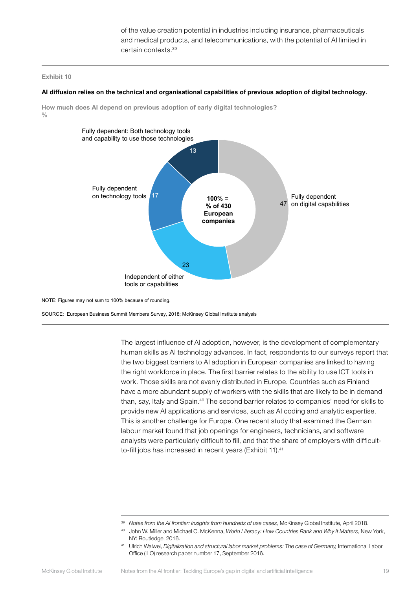of the value creation potential in industries including insurance, pharmaceuticals and medical products, and telecommunications, with the potential of AI limited in certain contexts.39

#### **Exhibit 10**

#### **AI diffusion relies on the technical and organisational capabilities of previous adoption of digital technology.**

**How much does AI depend on previous adoption of early digital technologies?**   $0/2$ 



NOTE: Figures may not sum to 100% because of rounding.

SOURCE: European Business Summit Members Survey, 2018; McKinsey Global Institute analysis

The largest influence of AI adoption, however, is the development of complementary human skills as AI technology advances. In fact, respondents to our surveys report that the two biggest barriers to AI adoption in European companies are linked to having the right workforce in place. The first barrier relates to the ability to use ICT tools in work. Those skills are not evenly distributed in Europe. Countries such as Finland have a more abundant supply of workers with the skills that are likely to be in demand than, say, Italy and Spain.<sup>40</sup> The second barrier relates to companies' need for skills to provide new AI applications and services, such as AI coding and analytic expertise. This is another challenge for Europe. One recent study that examined the German labour market found that job openings for engineers, technicians, and software analysts were particularly difficult to fill, and that the share of employers with difficultto-fill jobs has increased in recent years (Exhibit 11).<sup>41</sup>

<sup>&</sup>lt;sup>39</sup> Notes from the AI frontier: Insights from hundreds of use cases, McKinsey Global Institute, April 2018.

<sup>40</sup> John W. Miller and Michael C. McKenna, *World Literacy: How Countries Rank and Why It Matters,* New York, NY: Routledge, 2016.

<sup>41</sup> Ulrich Walwei, *Digitalization and structural labor market problems: The case of Germany,* International Labor Office (ILO) research paper number 17, September 2016.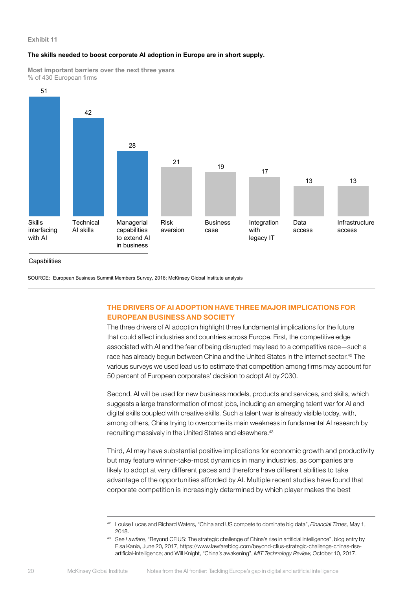#### **The skills needed to boost corporate AI adoption in Europe are in short supply.**

**Most important barriers over the next three years** % of 430 European firms



**Capabilities** 

SOURCE: European Business Summit Members Survey, 2018; McKinsey Global Institute analysis

# THE DRIVERS OF AI ADOPTION HAVE THREE MAJOR IMPLICATIONS FOR EUROPEAN BUSINESS AND SOCIETY

The three drivers of AI adoption highlight three fundamental implications for the future that could affect industries and countries across Europe. First, the competitive edge associated with AI and the fear of being disrupted may lead to a competitive race—such a race has already begun between China and the United States in the internet sector.<sup>42</sup> The various surveys we used lead us to estimate that competition among firms may account for 50 percent of European corporates' decision to adopt AI by 2030.

Second, AI will be used for new business models, products and services, and skills, which suggests a large transformation of most jobs, including an emerging talent war for AI and digital skills coupled with creative skills. Such a talent war is already visible today, with, among others, China trying to overcome its main weakness in fundamental AI research by recruiting massively in the United States and elsewhere.<sup>43</sup>

Third, AI may have substantial positive implications for economic growth and productivity but may feature winner-take-most dynamics in many industries, as companies are likely to adopt at very different paces and therefore have different abilities to take advantage of the opportunities afforded by AI. Multiple recent studies have found that corporate competition is increasingly determined by which player makes the best

<sup>42</sup> Louise Lucas and Richard Waters, "China and US compete to dominate big data", *Financial Times,* May 1, 2018.

<sup>43</sup> See *Lawfare,* "Beyond CFIUS: The strategic challenge of China's rise in artificial intelligence", blog entry by Elsa Kania, June 20, 2017, https://www.lawfareblog.com/beyond-cfius-strategic-challenge-chinas-riseartificial-intelligence; and Will Knight, "China's awakening", *MIT Technology Review,* October 10, 2017.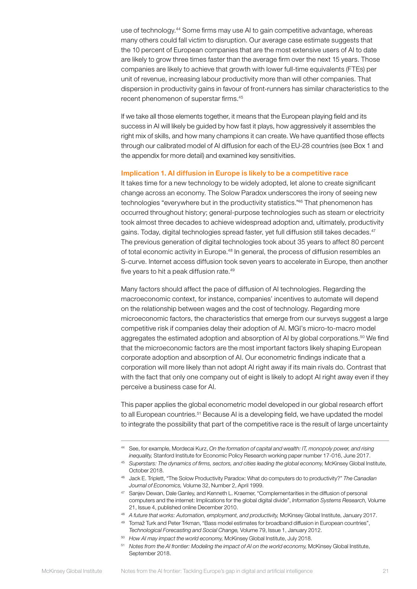use of technology.44 Some firms may use AI to gain competitive advantage, whereas many others could fall victim to disruption. Our average case estimate suggests that the 10 percent of European companies that are the most extensive users of AI to date are likely to grow three times faster than the average firm over the next 15 years. Those companies are likely to achieve that growth with lower full-time equivalents (FTEs) per unit of revenue, increasing labour productivity more than will other companies. That dispersion in productivity gains in favour of front-runners has similar characteristics to the recent phenomenon of superstar firms.45

If we take all those elements together, it means that the European playing field and its success in AI will likely be guided by how fast it plays, how aggressively it assembles the right mix of skills, and how many champions it can create. We have quantified those effects through our calibrated model of AI diffusion for each of the EU-28 countries (see Box 1 and the appendix for more detail) and examined key sensitivities.

#### Implication 1. AI diffusion in Europe is likely to be a competitive race

It takes time for a new technology to be widely adopted, let alone to create significant change across an economy. The Solow Paradox underscores the irony of seeing new technologies "everywhere but in the productivity statistics."<sup>46</sup> That phenomenon has occurred throughout history; general-purpose technologies such as steam or electricity took almost three decades to achieve widespread adoption and, ultimately, productivity gains. Today, digital technologies spread faster, yet full diffusion still takes decades.47 The previous generation of digital technologies took about 35 years to affect 80 percent of total economic activity in Europe.<sup>48</sup> In general, the process of diffusion resembles an S-curve. Internet access diffusion took seven years to accelerate in Europe, then another five years to hit a peak diffusion rate.<sup>49</sup>

Many factors should affect the pace of diffusion of AI technologies. Regarding the macroeconomic context, for instance, companies' incentives to automate will depend on the relationship between wages and the cost of technology. Regarding more microeconomic factors, the characteristics that emerge from our surveys suggest a large competitive risk if companies delay their adoption of AI. MGI's micro-to-macro model aggregates the estimated adoption and absorption of AI by global corporations.<sup>50</sup> We find that the microeconomic factors are the most important factors likely shaping European corporate adoption and absorption of AI. Our econometric findings indicate that a corporation will more likely than not adopt AI right away if its main rivals do. Contrast that with the fact that only one company out of eight is likely to adopt AI right away even if they perceive a business case for AI.

This paper applies the global econometric model developed in our global research effort to all European countries.<sup>51</sup> Because AI is a developing field, we have updated the model to integrate the possibility that part of the competitive race is the result of large uncertainty

<sup>44</sup> See, for example, Mordecai Kurz, *On the formation of capital and wealth: IT, monopoly power, and rising inequality,* Stanford Institute for Economic Policy Research working paper number 17-016, June 2017.

<sup>45</sup> *Superstars: The dynamics of firms, sectors, and cities leading the global economy,* McKinsey Global Institute, October 2018.

<sup>46</sup> Jack E. Triplett, "The Solow Productivity Paradox: What do computers do to productivity?" *The Canadian Journal of Economics,* Volume 32, Number 2, April 1999.

<sup>47</sup> Sanjev Dewan, Dale Ganley, and Kenneth L. Kraemer, "Complementarities in the diffusion of personal computers and the internet: Implications for the global digital divide", *Information Systems Research,* Volume 21, Issue 4, published online December 2010.

<sup>48</sup> *A future that works: Automation, employment, and productivity,* McKinsey Global Institute, January 2017.

<sup>49</sup> Tomaž Turk and Peter Trkman, "Bass model estimates for broadband diffusion in European countries", *Technological Forecasting and Social Change,* Volume 79, Issue 1, January 2012.

<sup>50</sup> *How AI may impact the world economy,* McKinsey Global Institute, July 2018.

<sup>51</sup> *Notes from the AI frontier: Modeling the impact of AI on the world economy,* McKinsey Global Institute, September 2018.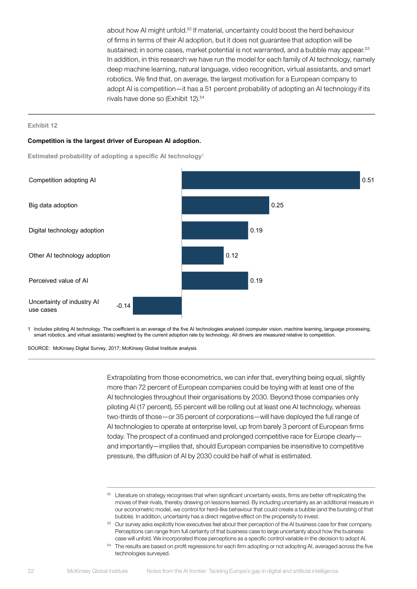about how AI might unfold.52 If material, uncertainty could boost the herd behaviour of firms in terms of their AI adoption, but it does not guarantee that adoption will be sustained; in some cases, market potential is not warranted, and a bubble may appear.<sup>53</sup> In addition, in this research we have run the model for each family of AI technology, namely deep machine learning, natural language, video recognition, virtual assistants, and smart robotics. We find that, on average, the largest motivation for a European company to adopt AI is competition—it has a 51 percent probability of adopting an AI technology if its rivals have done so (Exhibit 12).<sup>54</sup>

#### **Exhibit 12**

#### **Competition is the largest driver of European AI adoption.**

**Estimated probability of adopting a specific AI technology**<sup>1</sup>



1 Includes piloting AI technology. The coefficient is an average of the five AI technologies analysed (computer vision, machine learning, language processing, smart robotics, and virtual assistants) weighted by the current adoption rate by technology. All drivers are measured relative to competition.

SOURCE: McKinsey Digital Survey, 2017; McKinsey Global Institute analysis

Extrapolating from those econometrics, we can infer that, everything being equal, slightly more than 72 percent of European companies could be toying with at least one of the AI technologies throughout their organisations by 2030. Beyond those companies only piloting AI (17 percent), 55 percent will be rolling out at least one AI technology, whereas two-thirds of those—or 35 percent of corporations—will have deployed the full range of AI technologies to operate at enterprise level, up from barely 3 percent of European firms today. The prospect of a continued and prolonged competitive race for Europe clearly and importantly—implies that, should European companies be insensitive to competitive pressure, the diffusion of AI by 2030 could be half of what is estimated.

 $52$  Literature on strategy recognises that when significant uncertainty exists, firms are better off replicating the moves of their rivals, thereby drawing on lessons learned. By including uncertainty as an additional measure in our econometric model, we control for herd-like behaviour that could create a bubble (and the bursting of that bubble). In addition, uncertainty has a direct negative effect on the propensity to invest.

<sup>53</sup> Our survey asks explicitly how executives feel about their perception of the AI business case for their company. Perceptions can range from full certainty of that business case to large uncertainty about how the business case will unfold. We incorporated those perceptions as a specific control variable in the decision to adopt AI.

<sup>&</sup>lt;sup>54</sup> The results are based on profit regressions for each firm adopting or not adopting AI, averaged across the five technologies surveyed.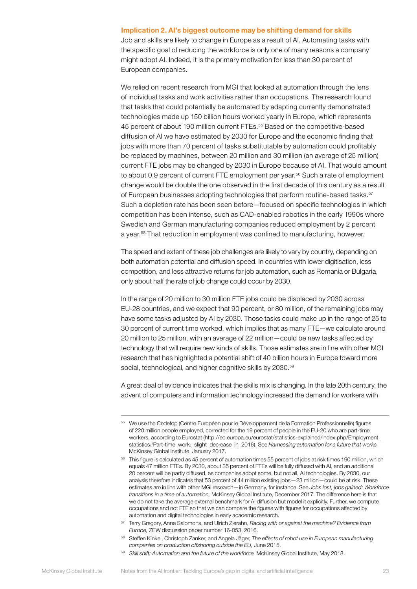#### Implication 2. AI's biggest outcome may be shifting demand for skills

Job and skills are likely to change in Europe as a result of AI. Automating tasks with the specific goal of reducing the workforce is only one of many reasons a company might adopt AI. Indeed, it is the primary motivation for less than 30 percent of European companies.

We relied on recent research from MGI that looked at automation through the lens of individual tasks and work activities rather than occupations. The research found that tasks that could potentially be automated by adapting currently demonstrated technologies made up 150 billion hours worked yearly in Europe, which represents 45 percent of about 190 million current FTEs.<sup>55</sup> Based on the competitive-based diffusion of AI we have estimated by 2030 for Europe and the economic finding that jobs with more than 70 percent of tasks substitutable by automation could profitably be replaced by machines, between 20 million and 30 million (an average of 25 million) current FTE jobs may be changed by 2030 in Europe because of AI. That would amount to about 0.9 percent of current FTE employment per year.<sup>56</sup> Such a rate of employment change would be double the one observed in the first decade of this century as a result of European businesses adopting technologies that perform routine-based tasks.<sup>57</sup> Such a depletion rate has been seen before—focused on specific technologies in which competition has been intense, such as CAD-enabled robotics in the early 1990s where Swedish and German manufacturing companies reduced employment by 2 percent a year.<sup>58</sup> That reduction in employment was confined to manufacturing, however.

The speed and extent of these job challenges are likely to vary by country, depending on both automation potential and diffusion speed. In countries with lower digitisation, less competition, and less attractive returns for job automation, such as Romania or Bulgaria, only about half the rate of job change could occur by 2030.

In the range of 20 million to 30 million FTE jobs could be displaced by 2030 across EU-28 countries, and we expect that 90 percent, or 80 million, of the remaining jobs may have some tasks adjusted by AI by 2030. Those tasks could make up in the range of 25 to 30 percent of current time worked, which implies that as many FTE—we calculate around 20 million to 25 million, with an average of 22 million—could be new tasks affected by technology that will require new kinds of skills. Those estimates are in line with other MGI research that has highlighted a potential shift of 40 billion hours in Europe toward more social, technological, and higher cognitive skills by 2030.<sup>59</sup>

A great deal of evidence indicates that the skills mix is changing. In the late 20th century, the advent of computers and information technology increased the demand for workers with

<sup>55</sup> We use the Cedefop (Centre Européen pour le Développement de la Formation Professionnelle) figures of 220 million people employed, corrected for the 19 percent of people in the EU-20 who are part-time workers, according to Eurostat (http://ec.europa.eu/eurostat/statistics-explained/index.php/Employment\_ statistics#Part-time\_work:\_slight\_decrease\_in\_2016). See *Harnessing automation for a future that works,*  McKinsey Global Institute, January 2017.

<sup>&</sup>lt;sup>56</sup> This figure is calculated as 45 percent of automation times 55 percent of jobs at risk times 190 million, which equals 47 million FTEs. By 2030, about 35 percent of FTEs will be fully diffused with AI, and an additional 20 percent will be partly diffused, as companies adopt some, but not all, AI technologies. By 2030, our analysis therefore indicates that 53 percent of 44 million existing jobs—23 million—could be at risk. These estimates are in line with other MGI research—in Germany, for instance. See *Jobs lost, jobs gained: Workforce transitions in a time of automation,* McKinsey Global Institute, December 2017. The difference here is that we do not take the average external benchmark for AI diffusion but model it explicitly. Further, we compute occupations and not FTE so that we can compare the figures with figures for occupations affected by automation and digital technologies in early academic research.

<sup>57</sup> Terry Gregory, Anna Salomons, and Ulrich Zierahn, *Racing with or against the machine? Evidence from Europe,* ZEW discussion paper number 16-053, 2016.

<sup>58</sup> Steffen Kinkel, Christoph Zanker, and Angela Jäger, *The effects of robot use in European manufacturing companies on production offshoring outside the EU,* June 2015.

<sup>59</sup> *Skill shift: Automation and the future of the workforce,* McKinsey Global Institute, May 2018.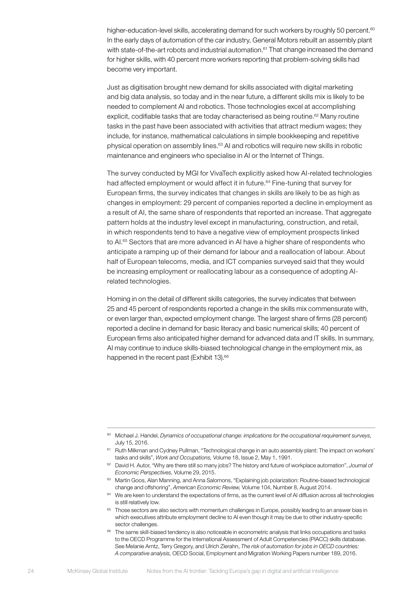higher-education-level skills, accelerating demand for such workers by roughly 50 percent.<sup>60</sup> In the early days of automation of the car industry, General Motors rebuilt an assembly plant with state-of-the-art robots and industrial automation.<sup>61</sup> That change increased the demand for higher skills, with 40 percent more workers reporting that problem-solving skills had become very important.

Just as digitisation brought new demand for skills associated with digital marketing and big data analysis, so today and in the near future, a different skills mix is likely to be needed to complement AI and robotics. Those technologies excel at accomplishing explicit, codifiable tasks that are today characterised as being routine.<sup>62</sup> Many routine tasks in the past have been associated with activities that attract medium wages; they include, for instance, mathematical calculations in simple bookkeeping and repetitive physical operation on assembly lines.<sup>63</sup> AI and robotics will require new skills in robotic maintenance and engineers who specialise in AI or the Internet of Things.

The survey conducted by MGI for VivaTech explicitly asked how AI-related technologies had affected employment or would affect it in future.<sup>64</sup> Fine-tuning that survey for European firms, the survey indicates that changes in skills are likely to be as high as changes in employment: 29 percent of companies reported a decline in employment as a result of AI, the same share of respondents that reported an increase. That aggregate pattern holds at the industry level except in manufacturing, construction, and retail, in which respondents tend to have a negative view of employment prospects linked to AI.<sup>65</sup> Sectors that are more advanced in AI have a higher share of respondents who anticipate a ramping up of their demand for labour and a reallocation of labour. About half of European telecoms, media, and ICT companies surveyed said that they would be increasing employment or reallocating labour as a consequence of adopting AIrelated technologies.

Homing in on the detail of different skills categories, the survey indicates that between 25 and 45 percent of respondents reported a change in the skills mix commensurate with, or even larger than, expected employment change. The largest share of firms (28 percent) reported a decline in demand for basic literacy and basic numerical skills; 40 percent of European firms also anticipated higher demand for advanced data and IT skills. In summary, AI may continue to induce skills-biased technological change in the employment mix, as happened in the recent past (Exhibit 13).<sup>66</sup>

- 63 Martin Goos, Alan Manning, and Anna Salomons, "Explaining job polarization: Routine-biased technological change and offshoring", *American Economic Review,* Volume 104, Number 8, August 2014.
- $64$  We are keen to understand the expectations of firms, as the current level of AI diffusion across all technologies is still relatively low.
- <sup>65</sup> Those sectors are also sectors with momentum challenges in Europe, possibly leading to an answer bias in which executives attribute employment decline to AI even though it may be due to other industry-specific sector challenges.
- <sup>66</sup> The same skill-biased tendency is also noticeable in econometric analysis that links occupations and tasks to the OECD Programme for the International Assessment of Adult Competencies (PIACC) skills database. See Melanie Arntz, Terry Gregory, and Ulrich Zierahn, *The risk of automation for jobs in OECD countries: A comparative analysis,* OECD Social, Employment and Migration Working Papers number 189, 2016.

<sup>60</sup> Michael J. Handel, *Dynamics of occupational change: implications for the occupational requirement surveys,*  July 15, 2016.

<sup>&</sup>lt;sup>61</sup> Ruth Milkman and Cydney Pullman, "Technological change in an auto assembly plant: The impact on workers' tasks and skills", *Work and Occupations,* Volume 18, Issue 2, May 1, 1991.

<sup>62</sup> David H. Autor, "Why are there still so many jobs? The history and future of workplace automation", *Journal of Economic Perspectives,* Volume 29, 2015.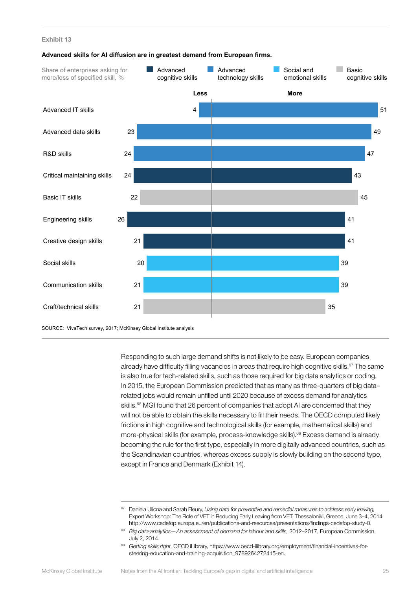![](_page_26_Figure_1.jpeg)

#### **Advanced skills for AI diffusion are in greatest demand from European firms.**

SOURCE: VivaTech survey, 2017; McKinsey Global Institute analysis

Responding to such large demand shifts is not likely to be easy. European companies already have difficulty filling vacancies in areas that require high cognitive skills.<sup>67</sup> The same is also true for tech-related skills, such as those required for big data analytics or coding. In 2015, the European Commission predicted that as many as three-quarters of big data– related jobs would remain unfilled until 2020 because of excess demand for analytics skills.<sup>68</sup> MGI found that 26 percent of companies that adopt AI are concerned that they will not be able to obtain the skills necessary to fill their needs. The OECD computed likely frictions in high cognitive and technological skills (for example, mathematical skills) and more-physical skills (for example, process-knowledge skills).<sup>69</sup> Excess demand is already becoming the rule for the first type, especially in more digitally advanced countries, such as the Scandinavian countries, whereas excess supply is slowly building on the second type, except in France and Denmark (Exhibit 14).

<sup>67</sup> Daniela Ulicna and Sarah Fleury, *Using data for preventive and remedial measures to address early leaving,* Expert Workshop: The Role of VET in Reducing Early Leaving from VET, Thessaloniki, Greece, June 3–4, 2014 http://www.cedefop.europa.eu/en/publications-and-resources/presentations/findings-cedefop-study-0.

<sup>68</sup> *Big data analytics—An assessment of demand for labour and skills,* 2012–2017, European Commission, July 2, 2014.

<sup>69</sup> *Getting skills right,* OECD iLibrary, https://www.oecd-ilibrary.org/employment/financial-incentives-forsteering-education-and-training-acquisition\_9789264272415-en.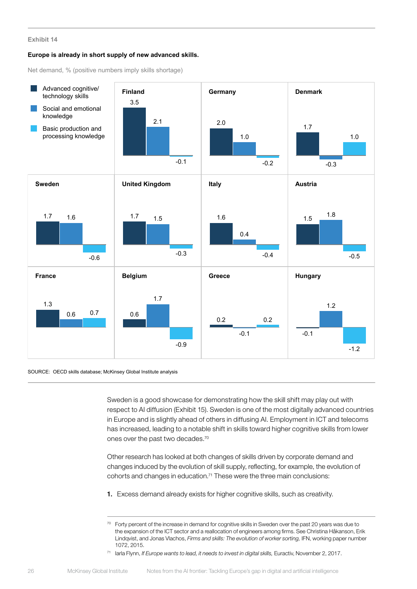#### **Europe is already in short supply of new advanced skills.**

Net demand, % (positive numbers imply skills shortage)

![](_page_27_Figure_3.jpeg)

#### SOURCE: OECD skills database; McKinsey Global Institute analysis

Sweden is a good showcase for demonstrating how the skill shift may play out with respect to AI diffusion (Exhibit 15). Sweden is one of the most digitally advanced countries in Europe and is slightly ahead of others in diffusing AI. Employment in ICT and telecoms has increased, leading to a notable shift in skills toward higher cognitive skills from lower ones over the past two decades.70

Other research has looked at both changes of skills driven by corporate demand and changes induced by the evolution of skill supply, reflecting, for example, the evolution of cohorts and changes in education.<sup>71</sup> These were the three main conclusions:

1. Excess demand already exists for higher cognitive skills, such as creativity.

<sup>71</sup> Iarla Flynn, *If Europe wants to lead, it needs to invest in digital skills,* Euractiv, November 2, 2017.

 $70$  Forty percent of the increase in demand for cognitive skills in Sweden over the past 20 years was due to the expansion of the ICT sector and a reallocation of engineers among firms. See Christina Håkanson, Erik Lindqvist, and Jonas Vlachos, *Firms and skills: The evolution of worker sorting,* IFN, working paper number 1072, 2015.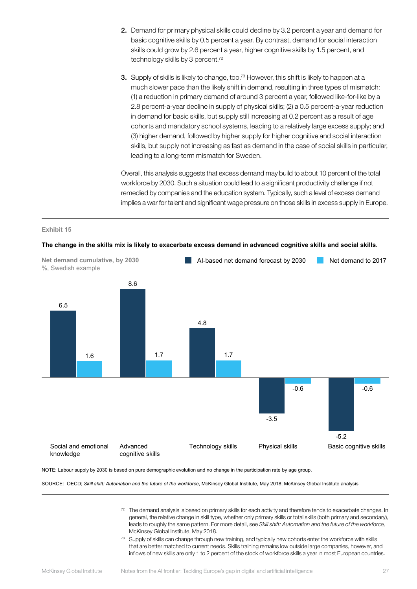- 2. Demand for primary physical skills could decline by 3.2 percent a year and demand for basic cognitive skills by 0.5 percent a year. By contrast, demand for social interaction skills could grow by 2.6 percent a year, higher cognitive skills by 1.5 percent, and technology skills by 3 percent.<sup>72</sup>
- 3. Supply of skills is likely to change, too.<sup>73</sup> However, this shift is likely to happen at a much slower pace than the likely shift in demand, resulting in three types of mismatch: (1) a reduction in primary demand of around 3 percent a year, followed like-for-like by a 2.8 percent-a-year decline in supply of physical skills; (2) a 0.5 percent-a-year reduction in demand for basic skills, but supply still increasing at 0.2 percent as a result of age cohorts and mandatory school systems, leading to a relatively large excess supply; and (3) higher demand, followed by higher supply for higher cognitive and social interaction skills, but supply not increasing as fast as demand in the case of social skills in particular, leading to a long-term mismatch for Sweden.

Overall, this analysis suggests that excess demand may build to about 10 percent of the total workforce by 2030. Such a situation could lead to a significant productivity challenge if not remedied by companies and the education system. Typically, such a level of excess demand implies a war for talent and significant wage pressure on those skills in excess supply in Europe.

#### **Exhibit 15**

![](_page_28_Figure_4.jpeg)

**The change in the skills mix is likely to exacerbate excess demand in advanced cognitive skills and social skills.**

NOTE: Labour supply by 2030 is based on pure demographic evolution and no change in the participation rate by age group.

SOURCE: OECD; *Skill shift: Automation and the future of the workforce*, McKinsey Global Institute, May 2018; McKinsey Global Institute analysis

- 72 The demand analysis is based on primary skills for each activity and therefore tends to exacerbate changes. In general, the relative change in skill type, whether only primary skills or total skills (both primary and secondary), leads to roughly the same pattern. For more detail, see *Skill shift: Automation and the future of the workforce,* McKinsey Global Institute, May 2018.
- 73 Supply of skills can change through new training, and typically new cohorts enter the workforce with skills that are better matched to current needs. Skills training remains low outside large companies, however, and inflows of new skills are only 1 to 2 percent of the stock of workforce skills a year in most European countries.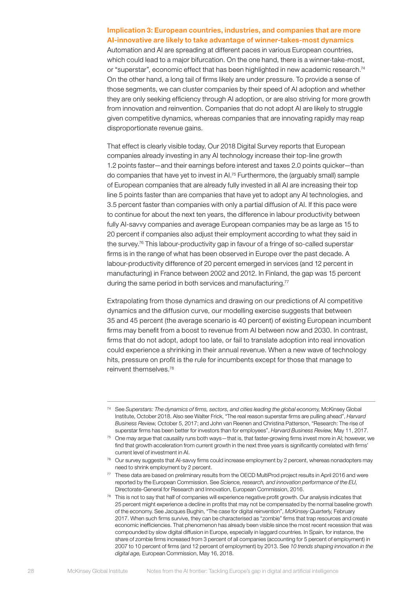### Implication 3: European countries, industries, and companies that are more AI-innovative are likely to take advantage of winner-takes-most dynamics

Automation and AI are spreading at different paces in various European countries, which could lead to a major bifurcation. On the one hand, there is a winner-take-most, or "superstar", economic effect that has been highlighted in new academic research.<sup>74</sup> On the other hand, a long tail of firms likely are under pressure. To provide a sense of those segments, we can cluster companies by their speed of AI adoption and whether they are only seeking efficiency through AI adoption, or are also striving for more growth from innovation and reinvention. Companies that do not adopt AI are likely to struggle given competitive dynamics, whereas companies that are innovating rapidly may reap disproportionate revenue gains.

That effect is clearly visible today, Our 2018 Digital Survey reports that European companies already investing in any AI technology increase their top-line growth 1.2 points faster—and their earnings before interest and taxes 2.0 points quicker—than do companies that have yet to invest in AI.75 Furthermore, the (arguably small) sample of European companies that are already fully invested in all AI are increasing their top line 5 points faster than are companies that have yet to adopt any AI technologies, and 3.5 percent faster than companies with only a partial diffusion of AI. If this pace were to continue for about the next ten years, the difference in labour productivity between fully AI-savvy companies and average European companies may be as large as 15 to 20 percent if companies also adjust their employment according to what they said in the survey.76 This labour-productivity gap in favour of a fringe of so-called superstar firms is in the range of what has been observed in Europe over the past decade. A labour-productivity difference of 20 percent emerged in services (and 12 percent in manufacturing) in France between 2002 and 2012. In Finland, the gap was 15 percent during the same period in both services and manufacturing.<sup>77</sup>

Extrapolating from those dynamics and drawing on our predictions of AI competitive dynamics and the diffusion curve, our modelling exercise suggests that between 35 and 45 percent (the average scenario is 40 percent) of existing European incumbent firms may benefit from a boost to revenue from AI between now and 2030. In contrast, firms that do not adopt, adopt too late, or fail to translate adoption into real innovation could experience a shrinking in their annual revenue. When a new wave of technology hits, pressure on profit is the rule for incumbents except for those that manage to reinvent themselves.78

<sup>74</sup> See *Superstars: The dynamics of firms, sectors, and cities leading the global economy,* McKinsey Global Institute, October 2018. Also see Walter Frick, "The real reason superstar firms are pulling ahead", *Harvard Business Review,* October 5, 2017; and John van Reenen and Christina Patterson, "Research: The rise of superstar firms has been better for investors than for employees", *Harvard Business Review,* May 11, 2017.

 $75$  One may argue that causality runs both ways—that is, that faster-growing firms invest more in AI; however, we find that growth acceleration from current growth in the next three years is significantly correlated with firms' current level of investment in AI.

 $76$  Our survey suggests that AI-savvy firms could increase employment by 2 percent, whereas nonadopters may need to shrink employment by 2 percent.

<sup>77</sup> These data are based on preliminary results from the OECD MultiProd project results in April 2016 and were reported by the European Commission. See *Science, research, and innovation performance of the EU,* Directorate-General for Research and Innovation, European Commission, 2016.

<sup>&</sup>lt;sup>78</sup> This is not to say that half of companies will experience negative profit growth. Our analysis indicates that 25 percent might experience a decline in profits that may not be compensated by the normal baseline growth of the economy. See Jacques Bughin, "The case for digital reinvention", *McKinsey Quarterly,* February 2017. When such firms survive, they can be characterised as "zombie" firms that trap resources and create economic inefficiencies. That phenomenon has already been visible since the most recent recession that was compounded by slow digital diffusion in Europe, especially in laggard countries. In Spain, for instance, the share of zombie firms increased from 3 percent of all companies (accounting for 5 percent of employment) in 2007 to 10 percent of firms (and 12 percent of employment) by 2013. See *10 trends shaping innovation in the digital age,* European Commission, May 16, 2018.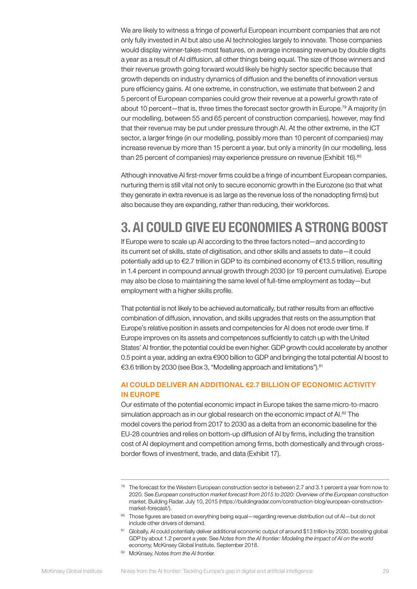We are likely to witness a fringe of powerful European incumbent companies that are not only fully invested in AI but also use AI technologies largely to innovate. Those companies would display winner-takes-most features, on average increasing revenue by double digits a year as a result of AI diffusion, all other things being equal. The size of those winners and their revenue growth going forward would likely be highly sector specific because that growth depends on industry dynamics of diffusion and the benefits of innovation versus pure efficiency gains. At one extreme, in construction, we estimate that between 2 and 5 percent of European companies could grow their revenue at a powerful growth rate of about 10 percent—that is, three times the forecast sector growth in Europe.<sup>79</sup> A majority (in our modelling, between 55 and 65 percent of construction companies), however, may find that their revenue may be put under pressure through AI. At the other extreme, in the ICT sector, a larger fringe (in our modelling, possibly more than 10 percent of companies) may increase revenue by more than 15 percent a year, but only a minority (in our modelling, less than 25 percent of companies) may experience pressure on revenue (Exhibit 16).<sup>80</sup>

Although innovative AI first-mover firms could be a fringe of incumbent European companies, nurturing them is still vital not only to secure economic growth in the Eurozone (so that what they generate in extra revenue is as large as the revenue loss of the nonadopting firms) but also because they are expanding, rather than reducing, their workforces.

# <span id="page-30-0"></span>3. AI COULD GIVE EU ECONOMIES A STRONG BOOST

If Europe were to scale up AI according to the three factors noted—and according to its current set of skills, state of digitisation, and other skills and assets to date—it could potentially add up to €2.7 trillion in GDP to its combined economy of €13.5 trillion, resulting in 1.4 percent in compound annual growth through 2030 (or 19 percent cumulative). Europe may also be close to maintaining the same level of full-time employment as today—but employment with a higher skills profile.

That potential is not likely to be achieved automatically, but rather results from an effective combination of diffusion, innovation, and skills upgrades that rests on the assumption that Europe's relative position in assets and competencies for AI does not erode over time. If Europe improves on its assets and competences sufficiently to catch up with the United States' AI frontier, the potential could be even higher. GDP growth could accelerate by another 0.5 point a year, adding an extra €900 billion to GDP and bringing the total potential AI boost to €3.6 trillion by 2030 (see Box 3, "Modelling approach and limitations").81

### AI COULD DELIVER AN ADDITIONAL €2.7 BILLION OF ECONOMIC ACTIVITY IN EUROPE

Our estimate of the potential economic impact in Europe takes the same micro-to-macro simulation approach as in our global research on the economic impact of AI.<sup>82</sup> The model covers the period from 2017 to 2030 as a delta from an economic baseline for the EU-28 countries and relies on bottom-up diffusion of AI by firms, including the transition cost of AI deployment and competition among firms, both domestically and through crossborder flows of investment, trade, and data (Exhibit 17).

<sup>82</sup> McKinsey, *Notes from the AI frontier.*

<sup>&</sup>lt;sup>79</sup> The forecast for the Western European construction sector is between 2.7 and 3.1 percent a year from now to 2020. See *European construction market forecast from 2015 to 2020: Overview of the European construction market,* Building Radar, July 10, 2015 (https://buildingradar.com/construction-blog/european-constructionmarket-forecast/).

<sup>80</sup> Those figures are based on everything being equal—regarding revenue distribution out of AI—but do not include other drivers of demand.

<sup>81</sup> Globally, AI could potentially deliver additional economic output of around \$13 trillion by 2030, boosting global GDP by about 1.2 percent a year. See Notes from the AI frontier: Modeling the impact of AI on the world *economy,* McKinsey Global Institute, September 2018.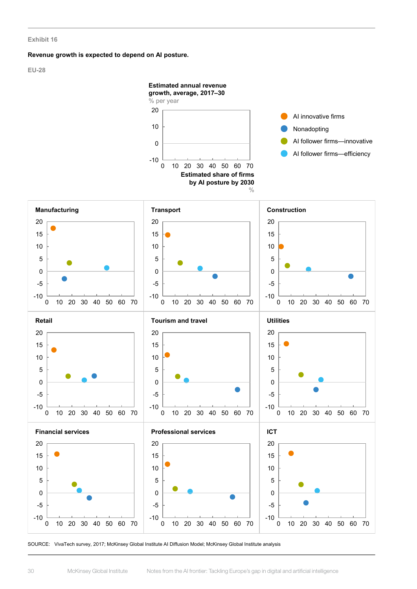#### **Revenue growth is expected to depend on AI posture.**

**EU-28**

![](_page_31_Figure_3.jpeg)

SOURCE: VivaTech survey, 2017; McKinsey Global Institute AI Diffusion Model; McKinsey Global Institute analysis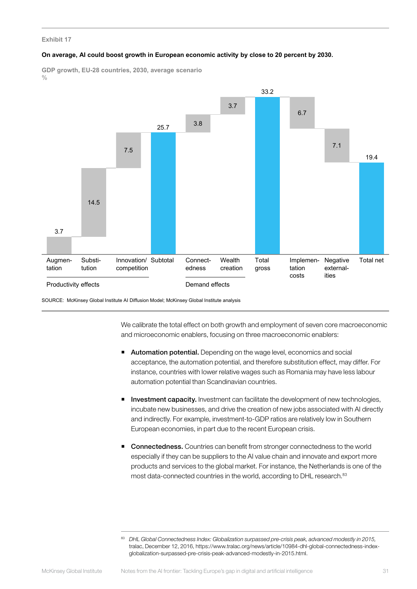#### **On average, AI could boost growth in European economic activity by close to 20 percent by 2030.**

**GDP growth, EU-28 countries, 2030, average scenario**  $0/$ 

![](_page_32_Figure_3.jpeg)

SOURCE: McKinsey Global Institute AI Diffusion Model; McKinsey Global Institute analysis

We calibrate the total effect on both growth and employment of seven core macroeconomic and microeconomic enablers, focusing on three macroeconomic enablers:

- Automation potential. Depending on the wage level, economics and social acceptance, the automation potential, and therefore substitution effect, may differ. For instance, countries with lower relative wages such as Romania may have less labour automation potential than Scandinavian countries.
- **Investment capacity.** Investment can facilitate the development of new technologies, incubate new businesses, and drive the creation of new jobs associated with AI directly and indirectly. For example, investment-to-GDP ratios are relatively low in Southern European economies, in part due to the recent European crisis.
- Connectedness. Countries can benefit from stronger connectedness to the world especially if they can be suppliers to the AI value chain and innovate and export more products and services to the global market. For instance, the Netherlands is one of the most data-connected countries in the world, according to DHL research.<sup>83</sup>

<sup>83</sup> *DHL Global Connectedness Index: Globalization surpassed pre-crisis peak, advanced modestly in 2015,* tralac, December 12, 2016, https://www.tralac.org/news/article/10984-dhl-global-connectedness-indexglobalization-surpassed-pre-crisis-peak-advanced-modestly-in-2015.html.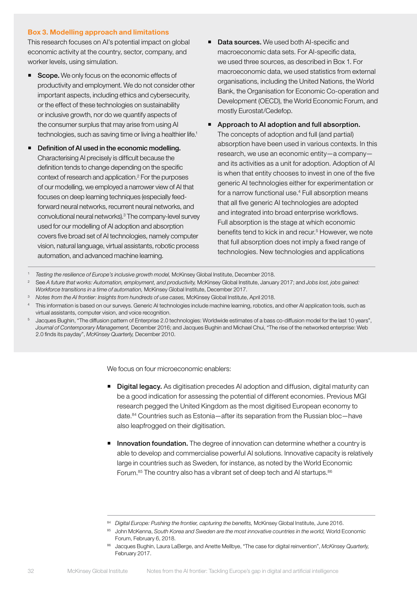### Box 3. Modelling approach and limitations

This research focuses on AI's potential impact on global economic activity at the country, sector, company, and worker levels, using simulation.

- Scope. We only focus on the economic effects of productivity and employment. We do not consider other important aspects, including ethics and cybersecurity, or the effect of these technologies on sustainability or inclusive growth, nor do we quantify aspects of the consumer surplus that may arise from using AI technologies, such as saving time or living a healthier life.<sup>1</sup>
- Definition of AI used in the economic modelling. Characterising AI precisely is difficult because the definition tends to change depending on the specific context of research and application.2 For the purposes of our modelling, we employed a narrower view of AI that focuses on deep learning techniques (especially feedforward neural networks, recurrent neural networks, and convolutional neural networks).3 The company-level survey used for our modelling of AI adoption and absorption covers five broad set of AI technologies, namely computer vision, natural language, virtual assistants, robotic process automation, and advanced machine learning.
- Data sources. We used both AI-specific and macroeconomic data sets. For AI-specific data, we used three sources, as described in Box 1. For macroeconomic data, we used statistics from external organisations, including the United Nations, the World Bank, the Organisation for Economic Co-operation and Development (OECD), the World Economic Forum, and mostly Eurostat/Cedefop.
- **Approach to AI adoption and full absorption.** The concepts of adoption and full (and partial) absorption have been used in various contexts. In this research, we use an economic entity—a company and its activities as a unit for adoption. Adoption of AI is when that entity chooses to invest in one of the five generic AI technologies either for experimentation or for a narrow functional use.4 Full absorption means that all five generic AI technologies are adopted and integrated into broad enterprise workflows. Full absorption is the stage at which economic benefits tend to kick in and recur.<sup>5</sup> However, we note that full absorption does not imply a fixed range of technologies. New technologies and applications

<sup>1</sup> *Testing the resilience of Europe's inclusive growth model,* McKinsey Global Institute, December 2018.

- <sup>2</sup> See *A future that works: Automation, employment, and productivity,* McKinsey Global Institute, January 2017; and *Jobs lost, jobs gained: Workforce transitions in a time of automation,* McKinsey Global Institute, December 2017.
- <sup>3</sup> *Notes from the AI frontier: Insights from hundreds of use cases,* McKinsey Global Institute, April 2018.
- 4 This information is based on our surveys. Generic AI technologies include machine learning, robotics, and other AI application tools, such as virtual assistants, computer vision, and voice recognition.
- <sup>5</sup> Jacques Bughin, "The diffusion pattern of Enterprise 2.0 technologies: Worldwide estimates of a bass co-diffusion model for the last 10 years", *Journal of Contemporary Management,* December 2016; and Jacques Bughin and Michael Chui, "The rise of the networked enterprise: Web 2.0 finds its payday", *McKinsey Quarterly,* December 2010.

We focus on four microeconomic enablers:

- **Digital legacy.** As digitisation precedes AI adoption and diffusion, digital maturity can be a good indication for assessing the potential of different economies. Previous MGI research pegged the United Kingdom as the most digitised European economy to date.84 Countries such as Estonia—after its separation from the Russian bloc—have also leapfrogged on their digitisation.
- **Innovation foundation.** The degree of innovation can determine whether a country is able to develop and commercialise powerful AI solutions. Innovative capacity is relatively large in countries such as Sweden, for instance, as noted by the World Economic Forum.<sup>85</sup> The country also has a vibrant set of deep tech and AI startups.<sup>86</sup>

<sup>84</sup> *Digital Europe: Pushing the frontier, capturing the benefits, McKinsey Global Institute, June 2016*.

<sup>85</sup> John McKenna, *South Korea and Sweden are the most innovative countries in the world,* World Economic Forum, February 6, 2018.

<sup>86</sup> Jacques Bughin, Laura LaBerge, and Anette Mellbye, "The case for digital reinvention", *McKinsey Quarterly,* February 2017.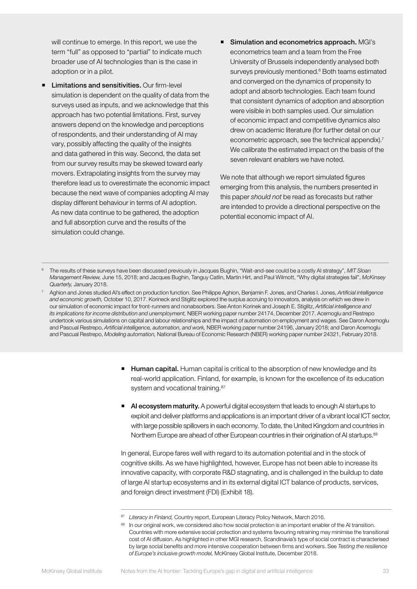will continue to emerge. In this report, we use the term "full" as opposed to "partial" to indicate much broader use of AI technologies than is the case in adoption or in a pilot.

- Limitations and sensitivities. Our firm-level simulation is dependent on the quality of data from the surveys used as inputs, and we acknowledge that this approach has two potential limitations. First, survey answers depend on the knowledge and perceptions of respondents, and their understanding of AI may vary, possibly affecting the quality of the insights and data gathered in this way. Second, the data set from our survey results may be skewed toward early movers. Extrapolating insights from the survey may therefore lead us to overestimate the economic impact because the next wave of companies adopting AI may display different behaviour in terms of AI adoption. As new data continue to be gathered, the adoption and full absorption curve and the results of the simulation could change.
- Simulation and econometrics approach. MGI's econometrics team and a team from the Free University of Brussels independently analysed both surveys previously mentioned.<sup>6</sup> Both teams estimated and converged on the dynamics of propensity to adopt and absorb technologies. Each team found that consistent dynamics of adoption and absorption were visible in both samples used. Our simulation of economic impact and competitive dynamics also drew on academic literature (for further detail on our econometric approach, see the technical appendix).<sup>7</sup> We calibrate the estimated impact on the basis of the seven relevant enablers we have noted.

We note that although we report simulated figures emerging from this analysis, the numbers presented in this paper *should not* be read as forecasts but rather are intended to provide a directional perspective on the potential economic impact of AI.

<sup>6</sup> The results of these surveys have been discussed previously in Jacques Bughin, "Wait-and-see could be a costly AI strategy", *MIT Sloan Management Review,* June 15, 2018; and Jacques Bughin, Tanguy Catlin, Martin Hirt, and Paul Wilmott, "Why digital strategies fail", *McKinsey Quarterly,* January 2018.

<sup>7</sup> Aghion and Jones studied AI's effect on production function. See Philippe Aghion, Benjamin F. Jones, and Charles I. Jones, *Artificial intelligence and economic growth,* October 10, 2017. Korineck and Stiglitz explored the surplus accruing to innovators, analysis on which we drew in our simulation of economic impact for front-runners and nonabsorbers. See Anton Korinek and Joseph E. Stiglitz, *Artificial intelligence and its implications for income distribution and unemployment,* NBER working paper number 24174, December 2017. Acemoglu and Restrepo undertook various simulations on capital and labour relationships and the impact of automation on employment and wages. See Daron Acemoglu and Pascual Restrepo, *Artificial intelligence, automation, and work,* NBER working paper number 24196, January 2018; and Daron Acemoglu and Pascual Restrepo, *Modeling automation,* National Bureau of Economic Research (NBER) working paper number 24321, February 2018.

- **Human capital.** Human capital is critical to the absorption of new knowledge and its real-world application. Finland, for example, is known for the excellence of its education system and vocational training.<sup>87</sup>
- AI ecosystem maturity. A powerful digital ecosystem that leads to enough AI startups to exploit and deliver platforms and applications is an important driver of a vibrant local ICT sector, with large possible spillovers in each economy. To date, the United Kingdom and countries in Northern Europe are ahead of other European countries in their origination of AI startups.<sup>88</sup>

In general, Europe fares well with regard to its automation potential and in the stock of cognitive skills. As we have highlighted, however, Europe has not been able to increase its innovative capacity, with corporate R&D stagnating, and is challenged in the buildup to date of large AI startup ecosystems and in its external digital ICT balance of products, services, and foreign direct investment (FDI) (Exhibit 18).

<sup>87</sup> Literacy in Finland, Country report, European Literacy Policy Network, March 2016.

<sup>88</sup> In our original work, we considered also how social protection is an important enabler of the AI transition. Countries with more extensive social protection and systems favouring retraining may minimise the transitional cost of AI diffusion. As highlighted in other MGI research, Scandinavia's type of social contract is characterised by large social benefits and more intensive cooperation between firms and workers. See *Testing the resilience of Europe's inclusive growth model,* McKinsey Global Institute, December 2018.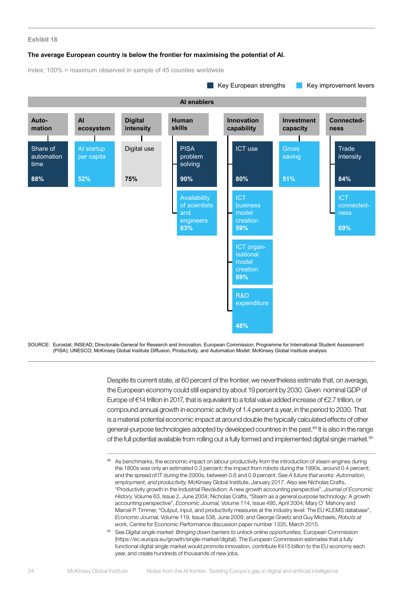#### **The average European country is below the frontier for maximising the potential of AI.**

Index; 100% = maximum observed in sample of 45 counties worldwide

![](_page_35_Figure_3.jpeg)

SOURCE: Eurostat; INSEAD; Directorate-General for Research and Innovation, European Commission; Programme for International Student Assessment (PISA); UNESCO; McKinsey Global Institute Diffusion, Productivity, and Automation Model; McKinsey Global Institute analysis

> Despite its current state, at 60 percent of the frontier, we nevertheless estimate that, on average, the European economy could still expand by about 19 percent by 2030. Given nominal GDP of Europe of €14 trillion in 2017, that is equivalent to a total value added increase of €2.7 trillion, or compound annual growth in economic activity of 1.4 percent a year, in the period to 2030. That is a material potential economic impact at around double the typically calculated effects of other general-purpose technologies adopted by developed countries in the past.<sup>89</sup> It is also in the range of the full potential available from rolling out a fully formed and implemented digital single market.<sup>90</sup>

<sup>89</sup> As benchmarks, the economic impact on labour productivity from the introduction of steam engines during the 1800s was only an estimated 0.3 percent; the impact from robots during the 1990s, around 0.4 percent; and the spread of IT during the 2000s, between 0.6 and 0.9 percent. See *A future that works: Automation, employment, and productivity,* McKinsey Global Institute, January 2017. Also see Nicholas Crafts, "Productivity growth in the Industrial Revolution: A new growth accounting perspective", *Journal of Economic History,* Volume 63, Issue 2, June 2004; Nicholas Crafts, "Steam as a general purpose technology: A growth accounting perspective", *Economic Journal,* Volume 114, Issue 495, April 2004; Mary O' Mahony and Marcel P. Timmer, "Output, input, and productivity measures at the industry level: The EU KLEMS database", *Economic Journal,* Volume 119, Issue 538, June 2009; and George Graetz and Guy Michaels, *Robots at work,* Centre for Economic Performance discussion paper number 1335, March 2015.

<sup>90</sup> See *Digital single market: Bringing down barriers to unlock online opportunities,* European Commission (https://ec.europa.eu/growth/single-market/digital). The European Commission estimates that a fully functional digital single market would promote innovation, contribute €415 billion to the EU economy each year, and create hundreds of thousands of new jobs.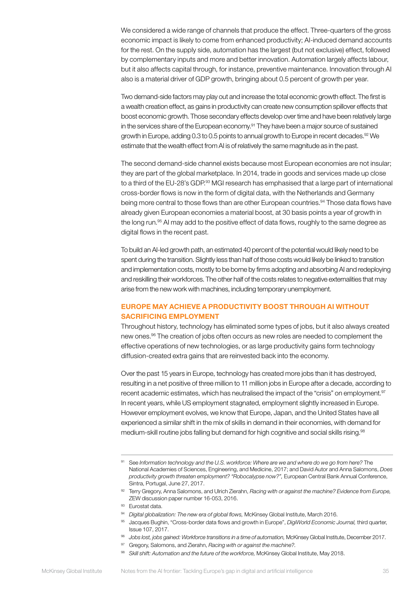We considered a wide range of channels that produce the effect. Three-quarters of the gross economic impact is likely to come from enhanced productivity; AI-induced demand accounts for the rest. On the supply side, automation has the largest (but not exclusive) effect, followed by complementary inputs and more and better innovation. Automation largely affects labour, but it also affects capital through, for instance, preventive maintenance. Innovation through AI also is a material driver of GDP growth, bringing about 0.5 percent of growth per year.

Two demand-side factors may play out and increase the total economic growth effect. The first is a wealth creation effect, as gains in productivity can create new consumption spillover effects that boost economic growth. Those secondary effects develop over time and have been relatively large in the services share of the European economy.<sup>91</sup> They have been a major source of sustained growth in Europe, adding 0.3 to 0.5 points to annual growth to Europe in recent decades.<sup>92</sup> We estimate that the wealth effect from AI is of relatively the same magnitude as in the past.

The second demand-side channel exists because most European economies are not insular; they are part of the global marketplace. In 2014, trade in goods and services made up close to a third of the EU-28's GDP.<sup>93</sup> MGI research has emphasised that a large part of international cross-border flows is now in the form of digital data, with the Netherlands and Germany being more central to those flows than are other European countries.<sup>94</sup> Those data flows have already given European economies a material boost, at 30 basis points a year of growth in the long run.<sup>95</sup> AI may add to the positive effect of data flows, roughly to the same degree as digital flows in the recent past.

To build an AI-led growth path, an estimated 40 percent of the potential would likely need to be spent during the transition. Slightly less than half of those costs would likely be linked to transition and implementation costs, mostly to be borne by firms adopting and absorbing AI and redeploying and reskilling their workforces. The other half of the costs relates to negative externalities that may arise from the new work with machines, including temporary unemployment.

# EUROPE MAY ACHIEVE A PRODUCTIVITY BOOST THROUGH AI WITHOUT SACRIFICING EMPLOYMENT

Throughout history, technology has eliminated some types of jobs, but it also always created new ones.<sup>96</sup> The creation of jobs often occurs as new roles are needed to complement the effective operations of new technologies, or as large productivity gains form technology diffusion-created extra gains that are reinvested back into the economy.

Over the past 15 years in Europe, technology has created more jobs than it has destroyed, resulting in a net positive of three million to 11 million jobs in Europe after a decade, according to recent academic estimates, which has neutralised the impact of the "crisis" on employment.<sup>97</sup> In recent years, while US employment stagnated, employment slightly increased in Europe. However employment evolves, we know that Europe, Japan, and the United States have all experienced a similar shift in the mix of skills in demand in their economies, with demand for medium-skill routine jobs falling but demand for high cognitive and social skills rising.<sup>98</sup>

<sup>91</sup> See *Information technology and the U.S. workforce: Where are we and where do we go from here?* The National Academies of Sciences, Engineering, and Medicine, 2017; and David Autor and Anna Salomons, *Does productivity growth threaten employment? "Robocalypse now?",* European Central Bank Annual Conference, Sintra, Portugal, June 27, 2017.

<sup>92</sup> Terry Gregory, Anna Salomons, and Ulrich Zierahn, *Racing with or against the machine? Evidence from Europe,* ZEW discussion paper number 16-053, 2016.

<sup>93</sup> Eurostat data.

<sup>94</sup> *Digital globalization: The new era of global flows,* McKinsey Global Institute, March 2016.

<sup>95</sup> Jacques Bughin, "Cross-border data flows and growth in Europe", *DigiWorld Economic Journal,* third quarter, Issue 107, 2017.

<sup>96</sup> *Jobs lost, jobs gained: Workforce transitions in a time of automation, McKinsey Global Institute, December 2017.* 

<sup>97</sup> Gregory, Salomons, and Zierahn, *Racing with or against the machine?.*

<sup>98</sup> *Skill shift: Automation and the future of the workforce, McKinsey Global Institute, May 2018.*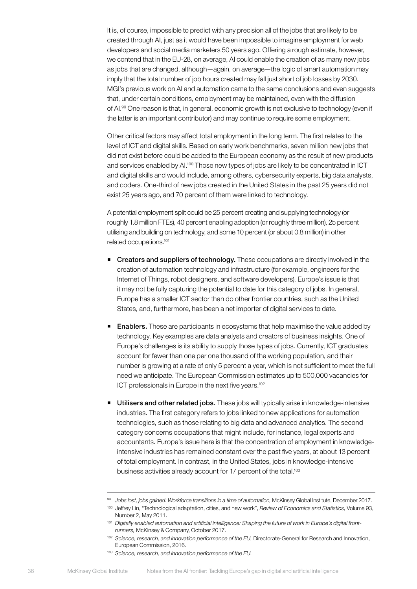It is, of course, impossible to predict with any precision all of the jobs that are likely to be created through AI, just as it would have been impossible to imagine employment for web developers and social media marketers 50 years ago. Offering a rough estimate, however, we contend that in the EU-28, on average, AI could enable the creation of as many new jobs as jobs that are changed, although—again, on average—the logic of smart automation may imply that the total number of job hours created may fall just short of job losses by 2030. MGI's previous work on AI and automation came to the same conclusions and even suggests that, under certain conditions, employment may be maintained, even with the diffusion of AI.99 One reason is that, in general, economic growth is not exclusive to technology (even if the latter is an important contributor) and may continue to require some employment.

Other critical factors may affect total employment in the long term. The first relates to the level of ICT and digital skills. Based on early work benchmarks, seven million new jobs that did not exist before could be added to the European economy as the result of new products and services enabled by Al.<sup>100</sup> Those new types of jobs are likely to be concentrated in ICT and digital skills and would include, among others, cybersecurity experts, big data analysts, and coders. One-third of new jobs created in the United States in the past 25 years did not exist 25 years ago, and 70 percent of them were linked to technology.

A potential employment split could be 25 percent creating and supplying technology (or roughly 1.8 million FTEs), 40 percent enabling adoption (or roughly three million), 25 percent utilising and building on technology, and some 10 percent (or about 0.8 million) in other related occupations.101

- **Creators and suppliers of technology.** These occupations are directly involved in the creation of automation technology and infrastructure (for example, engineers for the Internet of Things, robot designers, and software developers). Europe's issue is that it may not be fully capturing the potential to date for this category of jobs. In general, Europe has a smaller ICT sector than do other frontier countries, such as the United States, and, furthermore, has been a net importer of digital services to date.
- **Enablers.** These are participants in ecosystems that help maximise the value added by technology. Key examples are data analysts and creators of business insights. One of Europe's challenges is its ability to supply those types of jobs. Currently, ICT graduates account for fewer than one per one thousand of the working population, and their number is growing at a rate of only 5 percent a year, which is not sufficient to meet the full need we anticipate. The European Commission estimates up to 500,000 vacancies for ICT professionals in Europe in the next five years.<sup>102</sup>
- **Utilisers and other related jobs.** These jobs will typically arise in knowledge-intensive industries. The first category refers to jobs linked to new applications for automation technologies, such as those relating to big data and advanced analytics. The second category concerns occupations that might include, for instance, legal experts and accountants. Europe's issue here is that the concentration of employment in knowledgeintensive industries has remained constant over the past five years, at about 13 percent of total employment. In contrast, in the United States, jobs in knowledge-intensive business activities already account for 17 percent of the total.<sup>103</sup>

<sup>99</sup> *Jobs lost, jobs gained: Workforce transitions in a time of automation,* McKinsey Global Institute, December 2017.

<sup>100</sup> Jeffrey Lin, "Technological adaptation, cities, and new work", *Review of Economics and Statistics,* Volume 93, Number 2, May 2011.

<sup>&</sup>lt;sup>101</sup> Digitally enabled automation and artificial intelligence: Shaping the future of work in Europe's digital front*runners,* McKinsey & Company, October 2017.

<sup>102</sup> *Science, research, and innovation performance of the EU,* Directorate-General for Research and Innovation, European Commission, 2016.

<sup>103</sup> *Science, research, and innovation performance of the EU.*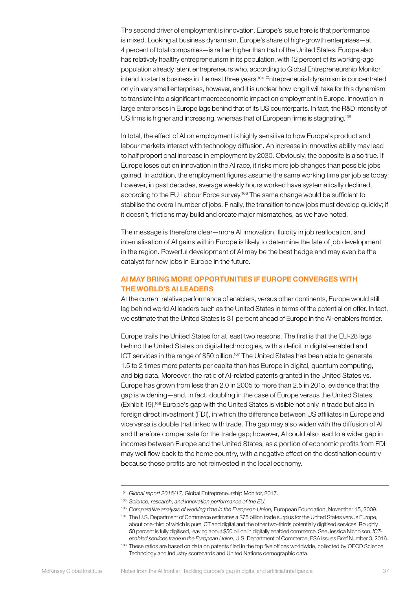The second driver of employment is innovation. Europe's issue here is that performance is mixed. Looking at business dynamism, Europe's share of high-growth enterprises—at 4 percent of total companies—is rather higher than that of the United States. Europe also has relatively healthy entrepreneurism in its population, with 12 percent of its working-age population already latent entrepreneurs who, according to Global Entrepreneurship Monitor, intend to start a business in the next three years.<sup>104</sup> Entrepreneurial dynamism is concentrated only in very small enterprises, however, and it is unclear how long it will take for this dynamism to translate into a significant macroeconomic impact on employment in Europe. Innovation in large enterprises in Europe lags behind that of its US counterparts. In fact, the R&D intensity of US firms is higher and increasing, whereas that of European firms is stagnating.<sup>105</sup>

In total, the effect of AI on employment is highly sensitive to how Europe's product and labour markets interact with technology diffusion. An increase in innovative ability may lead to half proportional increase in employment by 2030. Obviously, the opposite is also true. If Europe loses out on innovation in the AI race, it risks more job changes than possible jobs gained. In addition, the employment figures assume the same working time per job as today; however, in past decades, average weekly hours worked have systematically declined, according to the EU Labour Force survey.<sup>106</sup> The same change would be sufficient to stabilise the overall number of jobs. Finally, the transition to new jobs must develop quickly; if it doesn't, frictions may build and create major mismatches, as we have noted.

The message is therefore clear—more AI innovation, fluidity in job reallocation, and internalisation of AI gains within Europe is likely to determine the fate of job development in the region. Powerful development of AI may be the best hedge and may even be the catalyst for new jobs in Europe in the future.

# AI MAY BRING MORE OPPORTUNITIES IF EUROPE CONVERGES WITH THE WORLD'S AI LEADERS

At the current relative performance of enablers, versus other continents, Europe would still lag behind world AI leaders such as the United States in terms of the potential on offer. In fact, we estimate that the United States is 31 percent ahead of Europe in the AI-enablers frontier.

Europe trails the United States for at least two reasons. The first is that the EU-28 lags behind the United States on digital technologies, with a deficit in digital-enabled and ICT services in the range of \$50 billion.<sup>107</sup> The United States has been able to generate 1.5 to 2 times more patents per capita than has Europe in digital, quantum computing, and big data. Moreover, the ratio of AI-related patents granted in the United States vs. Europe has grown from less than 2.0 in 2005 to more than 2.5 in 2015, evidence that the gap is widening—and, in fact, doubling in the case of Europe versus the United States (Exhibit 19).108 Europe's gap with the United States is visible not only in trade but also in foreign direct investment (FDI), in which the difference between US affiliates in Europe and vice versa is double that linked with trade. The gap may also widen with the diffusion of AI and therefore compensate for the trade gap; however, AI could also lead to a wider gap in incomes between Europe and the United States, as a portion of economic profits from FDI may well flow back to the home country, with a negative effect on the destination country because those profits are not reinvested in the local economy.

<sup>104</sup> *Global report 2016/17,* Global Entrepreneurship Monitor, 2017.

<sup>105</sup> *Science, research, and innovation performance of the EU.*

<sup>106</sup> *Comparative analysis of working time in the European Union,* European Foundation, November 15, 2009. 107 The U.S. Department of Commerce estimates a \$75 billion trade surplus for the United States versus Europe, about one-third of which is pure ICT and digital and the other two-thirds potentially digitised services. Roughly 50 percent is fully digitised, leaving about \$50 billion in digitally enabled commerce. See Jessica Nicholson, *ICTenabled services trade in the European Union,* U.S. Department of Commerce, ESA Issues Brief Number 3, 2016.

<sup>&</sup>lt;sup>108</sup> These ratios are based on data on patents filed in the top five offices worldwide, collected by OECD Science Technology and Industry scorecards and United Nations demographic data.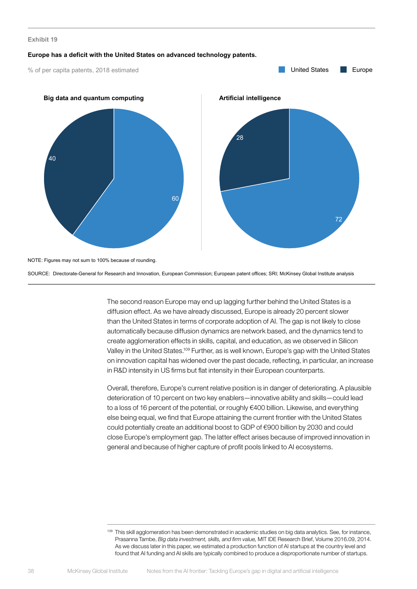#### **Europe has a deficit with the United States on advanced technology patents.**

% of per capita patents, 2018 estimated

![](_page_39_Figure_3.jpeg)

SOURCE: Directorate-General for Research and Innovation, European Commission; European patent offices; SRI; McKinsey Global Institute analysis

The second reason Europe may end up lagging further behind the United States is a diffusion effect. As we have already discussed, Europe is already 20 percent slower than the United States in terms of corporate adoption of AI. The gap is not likely to close automatically because diffusion dynamics are network based, and the dynamics tend to create agglomeration effects in skills, capital, and education, as we observed in Silicon Valley in the United States.109 Further, as is well known, Europe's gap with the United States on innovation capital has widened over the past decade, reflecting, in particular, an increase in R&D intensity in US firms but flat intensity in their European counterparts.

Overall, therefore, Europe's current relative position is in danger of deteriorating. A plausible deterioration of 10 percent on two key enablers—innovative ability and skills—could lead to a loss of 16 percent of the potential, or roughly €400 billion. Likewise, and everything else being equal, we find that Europe attaining the current frontier with the United States could potentially create an additional boost to GDP of €900 billion by 2030 and could close Europe's employment gap. The latter effect arises because of improved innovation in general and because of higher capture of profit pools linked to AI ecosystems.

<sup>109</sup> This skill agglomeration has been demonstrated in academic studies on big data analytics. See, for instance, Prasanna Tambe, *Big data investment, skills, and firm value,* MIT IDE Research Brief, Volume 2016.09, 2014. As we discuss later in this paper, we estimated a production function of AI startups at the country level and found that AI funding and AI skills are typically combined to produce a disproportionate number of startups.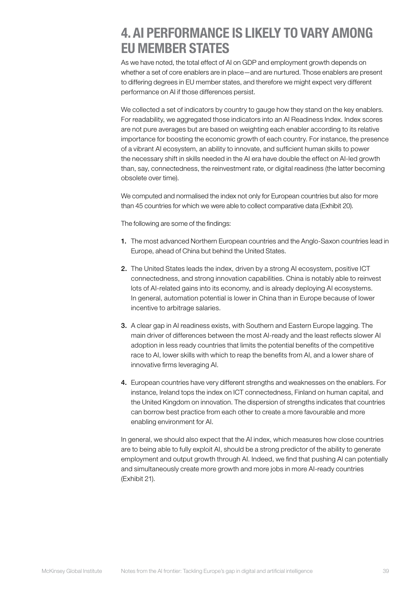# <span id="page-40-0"></span>4. AI PERFORMANCE IS LIKELY TO VARY AMONG EU MEMBER STATES

As we have noted, the total effect of AI on GDP and employment growth depends on whether a set of core enablers are in place—and are nurtured. Those enablers are present to differing degrees in EU member states, and therefore we might expect very different performance on AI if those differences persist.

We collected a set of indicators by country to gauge how they stand on the key enablers. For readability, we aggregated those indicators into an AI Readiness Index. Index scores are not pure averages but are based on weighting each enabler according to its relative importance for boosting the economic growth of each country. For instance, the presence of a vibrant AI ecosystem, an ability to innovate, and sufficient human skills to power the necessary shift in skills needed in the AI era have double the effect on AI-led growth than, say, connectedness, the reinvestment rate, or digital readiness (the latter becoming obsolete over time).

We computed and normalised the index not only for European countries but also for more than 45 countries for which we were able to collect comparative data (Exhibit 20).

The following are some of the findings:

- 1. The most advanced Northern European countries and the Anglo-Saxon countries lead in Europe, ahead of China but behind the United States.
- 2. The United States leads the index, driven by a strong AI ecosystem, positive ICT connectedness, and strong innovation capabilities. China is notably able to reinvest lots of AI-related gains into its economy, and is already deploying AI ecosystems. In general, automation potential is lower in China than in Europe because of lower incentive to arbitrage salaries.
- 3. A clear gap in AI readiness exists, with Southern and Eastern Europe lagging. The main driver of differences between the most AI-ready and the least reflects slower AI adoption in less ready countries that limits the potential benefits of the competitive race to AI, lower skills with which to reap the benefits from AI, and a lower share of innovative firms leveraging AI.
- 4. European countries have very different strengths and weaknesses on the enablers. For instance, Ireland tops the index on ICT connectedness, Finland on human capital, and the United Kingdom on innovation. The dispersion of strengths indicates that countries can borrow best practice from each other to create a more favourable and more enabling environment for AI.

In general, we should also expect that the AI index, which measures how close countries are to being able to fully exploit AI, should be a strong predictor of the ability to generate employment and output growth through AI. Indeed, we find that pushing AI can potentially and simultaneously create more growth and more jobs in more AI-ready countries (Exhibit 21).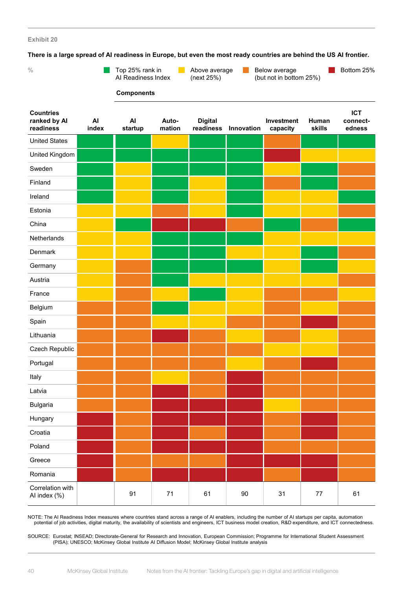**There is a large spread of AI readiness in Europe, but even the most ready countries are behind the US AI frontier.**

| There is a large spread of Arreadiness in Europe, but even the most ready countries are behind the OO Arrivingh<br>$\frac{0}{0}$ |             | Top 25% rank in<br>Al Readiness Index | <b>College</b>  | Above average<br>(next 25%) | Bottom 25% |                        |                 |                    |
|----------------------------------------------------------------------------------------------------------------------------------|-------------|---------------------------------------|-----------------|-----------------------------|------------|------------------------|-----------------|--------------------|
| <b>Countries</b>                                                                                                                 |             | <b>Components</b>                     |                 |                             |            |                        |                 | <b>ICT</b>         |
| ranked by Al<br>readiness                                                                                                        | AI<br>index | AI<br>startup                         | Auto-<br>mation | <b>Digital</b><br>readiness | Innovation | Investment<br>capacity | Human<br>skills | connect-<br>edness |
| <b>United States</b>                                                                                                             |             |                                       |                 |                             |            |                        |                 |                    |
| United Kingdom                                                                                                                   |             |                                       |                 |                             |            |                        |                 |                    |
| Sweden                                                                                                                           |             |                                       |                 |                             |            |                        |                 |                    |
| Finland                                                                                                                          |             |                                       |                 |                             |            |                        |                 |                    |
| Ireland                                                                                                                          |             |                                       |                 |                             |            |                        |                 |                    |
| Estonia                                                                                                                          |             |                                       |                 |                             |            |                        |                 |                    |
| China                                                                                                                            |             |                                       |                 |                             |            |                        |                 |                    |
| Netherlands                                                                                                                      |             |                                       |                 |                             |            |                        |                 |                    |
| Denmark                                                                                                                          |             |                                       |                 |                             |            |                        |                 |                    |
| Germany                                                                                                                          |             |                                       |                 |                             |            |                        |                 |                    |
| Austria                                                                                                                          |             |                                       |                 |                             |            |                        |                 |                    |
| France                                                                                                                           |             |                                       |                 |                             |            |                        |                 |                    |
| Belgium                                                                                                                          |             |                                       |                 |                             |            |                        |                 |                    |
| Spain                                                                                                                            |             |                                       |                 |                             |            |                        |                 |                    |
| Lithuania                                                                                                                        |             |                                       |                 |                             |            |                        |                 |                    |
| Czech Republic                                                                                                                   |             |                                       |                 |                             |            |                        |                 |                    |
| Portugal                                                                                                                         |             |                                       |                 |                             |            |                        |                 |                    |
| Italy                                                                                                                            |             |                                       |                 |                             |            |                        |                 |                    |
| Latvia                                                                                                                           |             |                                       |                 |                             |            |                        |                 |                    |
| <b>Bulgaria</b>                                                                                                                  |             |                                       |                 |                             |            |                        |                 |                    |
| Hungary                                                                                                                          |             |                                       |                 |                             |            |                        |                 |                    |
| Croatia                                                                                                                          |             |                                       |                 |                             |            |                        |                 |                    |
| Poland                                                                                                                           |             |                                       |                 |                             |            |                        |                 |                    |
| Greece                                                                                                                           |             |                                       |                 |                             |            |                        |                 |                    |
| Romania                                                                                                                          |             |                                       |                 |                             |            |                        |                 |                    |
| Correlation with                                                                                                                 |             |                                       |                 |                             |            |                        |                 |                    |

NOTE: The AI Readiness Index measures where countries stand across a range of AI enablers, including the number of AI startups per capita, automation potential of job activities, digital maturity, the availability of scientists and engineers, ICT business model creation, R&D expenditure, and ICT connectedness.

Al index (%) 81 91 71 61 90 31 77 61

SOURCE: Eurostat; INSEAD; Directorate-General for Research and Innovation, European Commission; Programme for International Student Assessment (PISA); UNESCO; McKinsey Global Institute AI Diffusion Model; McKinsey Global Institute analysis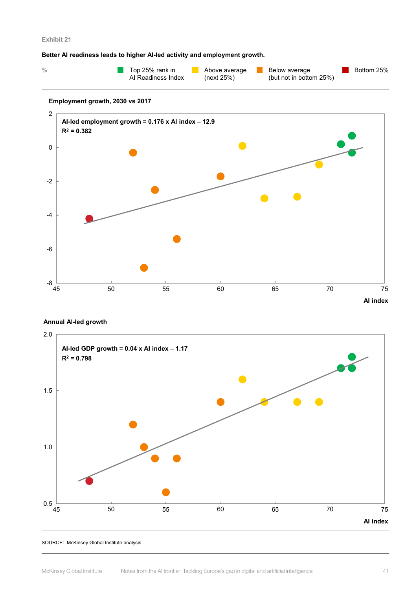#### **Better AI readiness leads to higher AI-led activity and employment growth.**

| Top 25% rank in    | Above average | Below average               | Bottom 25% |
|--------------------|---------------|-----------------------------|------------|
| Al Readiness Index | (next 25%)    | (but not in bottom $25\%$ ) |            |

### **Employment growth, 2030 vs 2017**

![](_page_42_Figure_4.jpeg)

#### **Annual AI-led growth**

![](_page_42_Figure_6.jpeg)

SOURCE: McKinsey Global Institute analysis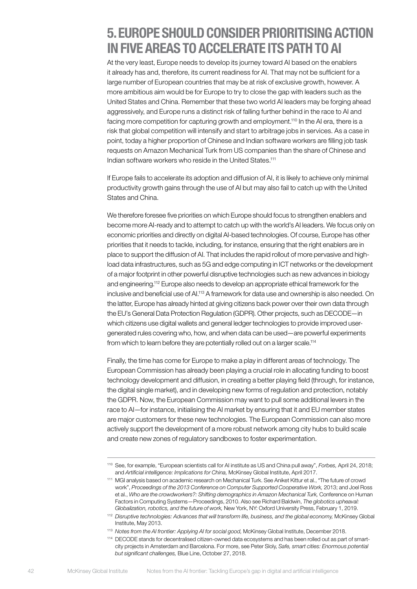# <span id="page-43-0"></span>5. EUROPE SHOULD CONSIDER PRIORITISING ACTION IN FIVE AREAS TO ACCELERATE ITS PATH TO AI

At the very least, Europe needs to develop its journey toward AI based on the enablers it already has and, therefore, its current readiness for AI. That may not be sufficient for a large number of European countries that may be at risk of exclusive growth, however. A more ambitious aim would be for Europe to try to close the gap with leaders such as the United States and China. Remember that these two world AI leaders may be forging ahead aggressively, and Europe runs a distinct risk of falling further behind in the race to AI and facing more competition for capturing growth and employment.<sup>110</sup> In the AI era, there is a risk that global competition will intensify and start to arbitrage jobs in services. As a case in point, today a higher proportion of Chinese and Indian software workers are filling job task requests on Amazon Mechanical Turk from US companies than the share of Chinese and Indian software workers who reside in the United States.111

If Europe fails to accelerate its adoption and diffusion of AI, it is likely to achieve only minimal productivity growth gains through the use of AI but may also fail to catch up with the United States and China.

We therefore foresee five priorities on which Europe should focus to strengthen enablers and become more AI-ready and to attempt to catch up with the world's AI leaders. We focus only on economic priorities and directly on digital AI-based technologies. Of course, Europe has other priorities that it needs to tackle, including, for instance, ensuring that the right enablers are in place to support the diffusion of AI. That includes the rapid rollout of more pervasive and highload data infrastructures, such as 5G and edge computing in ICT networks or the development of a major footprint in other powerful disruptive technologies such as new advances in biology and engineering.112 Europe also needs to develop an appropriate ethical framework for the inclusive and beneficial use of AI.113 A framework for data use and ownership is also needed. On the latter, Europe has already hinted at giving citizens back power over their own data through the EU's General Data Protection Regulation (GDPR). Other projects, such as DECODE—in which citizens use digital wallets and general ledger technologies to provide improved usergenerated rules covering who, how, and when data can be used—are powerful experiments from which to learn before they are potentially rolled out on a larger scale.<sup>114</sup>

Finally, the time has come for Europe to make a play in different areas of technology. The European Commission has already been playing a crucial role in allocating funding to boost technology development and diffusion, in creating a better playing field (through, for instance, the digital single market), and in developing new forms of regulation and protection, notably the GDPR. Now, the European Commission may want to pull some additional levers in the race to AI—for instance, initialising the AI market by ensuring that it and EU member states are major customers for these new technologies. The European Commission can also more actively support the development of a more robust network among city hubs to build scale and create new zones of regulatory sandboxes to foster experimentation.

<sup>110</sup> See, for example, "European scientists call for AI institute as US and China pull away", *Forbes,* April 24, 2018; and *Artificial intelligence: Implications for China,* McKinsey Global Institute, April 2017.

<sup>111</sup> MGI analysis based on academic research on Mechanical Turk. See Aniket Kittur et al., "The future of crowd work", *Proceedings of the 2013 Conference on Computer Supported Cooperative Work,* 2013; and Joel Ross et al., *Who are the crowdworkers?: Shifting demographics in Amazon Mechanical Turk,* Conference on Human Factors in Computing Systems—Proceedings, 2010. Also see Richard Baldwin, *The globotics upheaval: Globalization, robotics, and the future of work,* New York, NY: Oxford University Press, February 1, 2019.

<sup>112</sup> *Disruptive technologies: Advances that will transform life, business, and the global economy,* McKinsey Global Institute, May 2013.

<sup>113</sup> *Notes from the AI frontier: Applying AI for social good,* McKinsey Global Institute, December 2018.

<sup>114</sup> DECODE stands for decentralised citizen-owned data ecosystems and has been rolled out as part of smartcity projects in Amsterdam and Barcelona. For more, see Peter Sloly, *Safe, smart cities: Enormous potential but significant challenges,* Blue Line, October 27, 2018.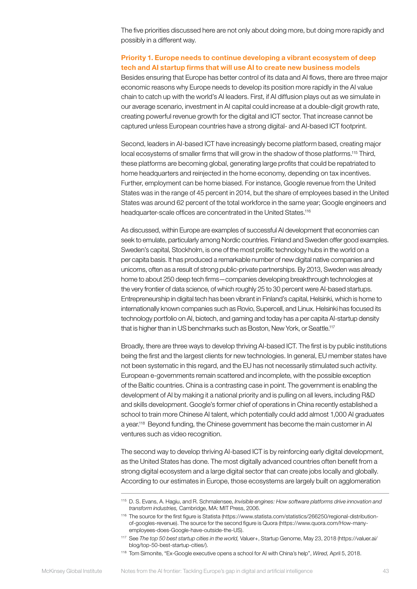The five priorities discussed here are not only about doing more, but doing more rapidly and possibly in a different way.

# Priority 1. Europe needs to continue developing a vibrant ecosystem of deep tech and AI startup firms that will use AI to create new business models

Besides ensuring that Europe has better control of its data and AI flows, there are three major economic reasons why Europe needs to develop its position more rapidly in the AI value chain to catch up with the world's AI leaders. First, if AI diffusion plays out as we simulate in our average scenario, investment in AI capital could increase at a double-digit growth rate, creating powerful revenue growth for the digital and ICT sector. That increase cannot be captured unless European countries have a strong digital- and AI-based ICT footprint.

Second, leaders in AI-based ICT have increasingly become platform based, creating major local ecosystems of smaller firms that will grow in the shadow of those platforms.<sup>115</sup> Third, these platforms are becoming global, generating large profits that could be repatriated to home headquarters and reinjected in the home economy, depending on tax incentives. Further, employment can be home biased. For instance, Google revenue from the United States was in the range of 45 percent in 2014, but the share of employees based in the United States was around 62 percent of the total workforce in the same year; Google engineers and headquarter-scale offices are concentrated in the United States.<sup>116</sup>

As discussed, within Europe are examples of successful AI development that economies can seek to emulate, particularly among Nordic countries. Finland and Sweden offer good examples. Sweden's capital, Stockholm, is one of the most prolific technology hubs in the world on a per capita basis. It has produced a remarkable number of new digital native companies and unicorns, often as a result of strong public-private partnerships. By 2013, Sweden was already home to about 250 deep tech firms—companies developing breakthrough technologies at the very frontier of data science, of which roughly 25 to 30 percent were AI-based startups. Entrepreneurship in digital tech has been vibrant in Finland's capital, Helsinki, which is home to internationally known companies such as Rovio, Supercell, and Linux. Helsinki has focused its technology portfolio on AI, biotech, and gaming and today has a per capita AI-startup density that is higher than in US benchmarks such as Boston, New York, or Seattle.<sup>117</sup>

Broadly, there are three ways to develop thriving AI-based ICT. The first is by public institutions being the first and the largest clients for new technologies. In general, EU member states have not been systematic in this regard, and the EU has not necessarily stimulated such activity. European e-governments remain scattered and incomplete, with the possible exception of the Baltic countries. China is a contrasting case in point. The government is enabling the development of AI by making it a national priority and is pulling on all levers, including R&D and skills development. Google's former chief of operations in China recently established a school to train more Chinese AI talent, which potentially could add almost 1,000 AI graduates a year.<sup>118</sup> Beyond funding, the Chinese government has become the main customer in AI ventures such as video recognition.

The second way to develop thriving AI-based ICT is by reinforcing early digital development, as the United States has done. The most digitally advanced countries often benefit from a strong digital ecosystem and a large digital sector that can create jobs locally and globally. According to our estimates in Europe, those ecosystems are largely built on agglomeration

<sup>115</sup> D. S. Evans, A. Hagiu, and R. Schmalensee, *Invisible engines: How software platforms drive innovation and transform industries,* Cambridge, MA: MIT Press, 2006.

<sup>116</sup> The source for the first figure is Statista (https://www.statista.com/statistics/266250/regional-distributionof-googles-revenue). The source for the second figure is Quora (https://www.quora.com/How-manyemployees-does-Google-have-outside-the-US).

<sup>117</sup> See *The top 50 best startup cities in the world,* Valuer+, Startup Genome, May 23, 2018 (https://valuer.ai/ blog/top-50-best-startup-cities/).

<sup>118</sup> Tom Simonite, "Ex-Google executive opens a school for AI with China's help", *Wired,* April 5, 2018.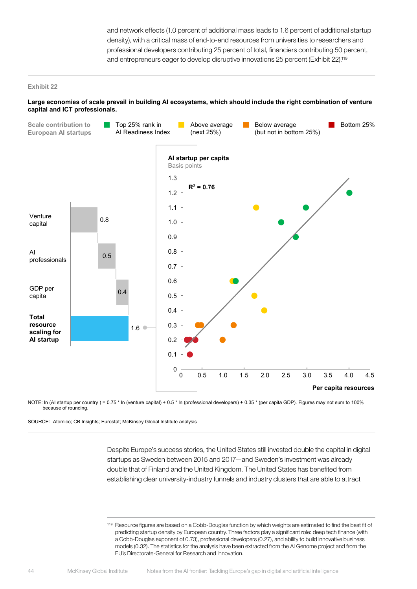and network effects (1.0 percent of additional mass leads to 1.6 percent of additional startup density), with a critical mass of end-to-end resources from universities to researchers and professional developers contributing 25 percent of total, financiers contributing 50 percent, and entrepreneurs eager to develop disruptive innovations 25 percent (Exhibit 22).119

#### **Exhibit 22**

#### **Large economies of scale prevail in building AI ecosystems, which should include the right combination of venture capital and ICT professionals.**

![](_page_45_Figure_3.jpeg)

NOTE: In (AI startup per country ) = 0.75 \* In (venture capital) + 0.5 \* In (professional developers) + 0.35 \* (per capita GDP). Figures may not sum to 100% because of rounding.

SOURCE: Atomico; CB Insights; Eurostat; McKinsey Global Institute analysis

Despite Europe's success stories, the United States still invested double the capital in digital startups as Sweden between 2015 and 2017—and Sweden's investment was already double that of Finland and the United Kingdom. The United States has benefited from establishing clear university-industry funnels and industry clusters that are able to attract

119 Resource figures are based on a Cobb-Douglas function by which weights are estimated to find the best fit of predicting startup density by European country. Three factors play a significant role: deep tech finance (with a Cobb-Douglas exponent of 0.73), professional developers (0.27), and ability to build innovative business models (0.32). The statistics for the analysis have been extracted from the AI Genome project and from the EU's Directorate-General for Research and Innovation.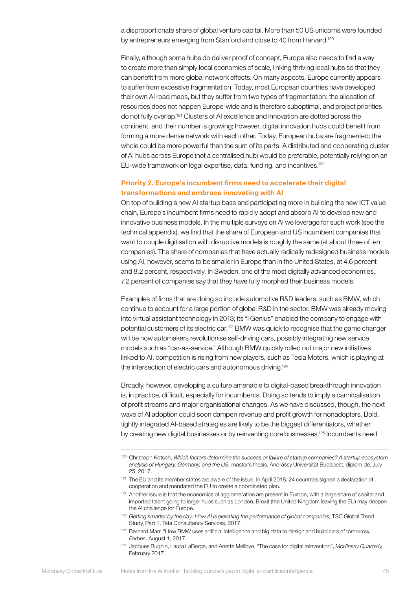a disproportionate share of global venture capital. More than 50 US unicorns were founded by entrepreneurs emerging from Stanford and close to 40 from Harvard.<sup>120</sup>

Finally, although some hubs do deliver proof of concept, Europe also needs to find a way to create more than simply local economies of scale, linking thriving local hubs so that they can benefit from more global network effects. On many aspects, Europe currently appears to suffer from excessive fragmentation. Today, most European countries have developed their own AI road maps, but they suffer from two types of fragmentation: the allocation of resources does not happen Europe-wide and is therefore suboptimal, and project priorities do not fully overlap.121 Clusters of AI excellence and innovation are dotted across the continent, and their number is growing; however, digital innovation hubs could benefit from forming a more dense network with each other. Today, European hubs are fragmented; the whole could be more powerful than the sum of its parts. A distributed and cooperating cluster of AI hubs across Europe (not a centralised hub) would be preferable, potentially relying on an EU-wide framework on legal expertise, data, funding, and incentives.<sup>122</sup>

# Priority 2. Europe's incumbent firms need to accelerate their digital transformations and embrace innovating with AI

On top of building a new AI startup base and participating more in building the new ICT value chain, Europe's incumbent firms need to rapidly adopt and absorb AI to develop new and innovative business models. In the multiple surveys on AI we leverage for such work (see the technical appendix), we find that the share of European and US incumbent companies that want to couple digitisation with disruptive models is roughly the same (at about three of ten companies). The share of companies that have actually radically redesigned business models using AI, however, seems to be smaller in Europe than in the United States, at 4.6 percent and 8.2 percent, respectively. In Sweden, one of the most digitally advanced economies, 7.2 percent of companies say that they have fully morphed their business models.

Examples of firms that are doing so include automotive R&D leaders, such as BMW, which continue to account for a large portion of global R&D in the sector. BMW was already moving into virtual assistant technology in 2013; its "i Genius" enabled the company to engage with potential customers of its electric car.<sup>123</sup> BMW was quick to recognise that the game changer will be how automakers revolutionise self-driving cars, possibly integrating new service models such as "car-as-service." Although BMW quickly rolled out major new initiatives linked to AI, competition is rising from new players, such as Tesla Motors, which is playing at the intersection of electric cars and autonomous driving.124

Broadly, however, developing a culture amenable to digital-based breakthrough innovation is, in practice, difficult, especially for incumbents. Doing so tends to imply a cannibalisation of profit streams and major organisational changes. As we have discussed, though, the next wave of AI adoption could soon dampen revenue and profit growth for nonadopters. Bold, tightly integrated AI-based strategies are likely to be the biggest differentiators, whether by creating new digital businesses or by reinventing core businesses.<sup>125</sup> Incumbents need

<sup>120</sup> Christoph Kotsch, *Which factors determine the success or failure of startup companies? A startup ecosystem analysis of Hungary, Germany, and the US,* master's thesis, Andrássy Universität Budapest, diplom,de, July 25, 2017.

<sup>&</sup>lt;sup>121</sup> The EU and its member states are aware of the issue. In April 2018, 24 countries signed a declaration of cooperation and mandated the EU to create a coordinated plan.

<sup>&</sup>lt;sup>122</sup> Another issue is that the economics of agglomeration are present in Europe, with a large share of capital and imported talent going to larger hubs such as London. Brexit (the United Kingdom leaving the EU) may deepen the AI challenge for Europe.

<sup>&</sup>lt;sup>123</sup> Getting smarter by the day: How AI is elevating the performance of global companies, TSC Global Trend Study, Part 1, Tata Consultancy Services, 2017.

<sup>124</sup> Bernard Marr, "How BMW uses artificial intelligence and big data to design and build cars of tomorrow, *Forbes,* August 1, 2017.

<sup>125</sup> Jacques Bughin, Laura LaBerge, and Anette Mellbye, "The case for digital reinvention", *McKinsey Quarterly,*  February 2017.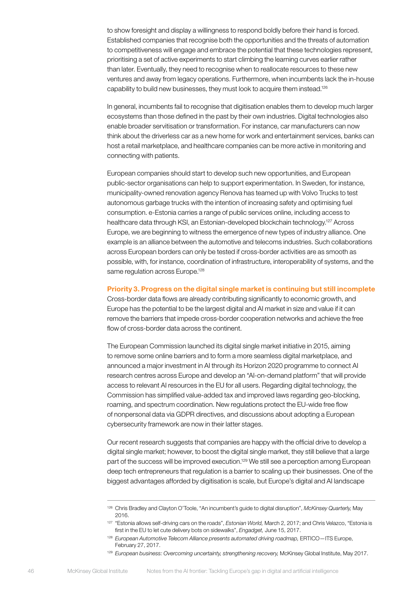to show foresight and display a willingness to respond boldly before their hand is forced. Established companies that recognise both the opportunities and the threats of automation to competitiveness will engage and embrace the potential that these technologies represent, prioritising a set of active experiments to start climbing the learning curves earlier rather than later. Eventually, they need to recognise when to reallocate resources to these new ventures and away from legacy operations. Furthermore, when incumbents lack the in-house capability to build new businesses, they must look to acquire them instead.126

In general, incumbents fail to recognise that digitisation enables them to develop much larger ecosystems than those defined in the past by their own industries. Digital technologies also enable broader servitisation or transformation. For instance, car manufacturers can now think about the driverless car as a new home for work and entertainment services, banks can host a retail marketplace, and healthcare companies can be more active in monitoring and connecting with patients.

European companies should start to develop such new opportunities, and European public-sector organisations can help to support experimentation. In Sweden, for instance, municipality-owned renovation agency Renova has teamed up with Volvo Trucks to test autonomous garbage trucks with the intention of increasing safety and optimising fuel consumption. e-Estonia carries a range of public services online, including access to healthcare data through KSI, an Estonian-developed blockchain technology.127 Across Europe, we are beginning to witness the emergence of new types of industry alliance. One example is an alliance between the automotive and telecoms industries. Such collaborations across European borders can only be tested if cross-border activities are as smooth as possible, with, for instance, coordination of infrastructure, interoperability of systems, and the same regulation across Europe.<sup>128</sup>

### Priority 3. Progress on the digital single market is continuing but still incomplete

Cross-border data flows are already contributing significantly to economic growth, and Europe has the potential to be the largest digital and AI market in size and value if it can remove the barriers that impede cross-border cooperation networks and achieve the free flow of cross-border data across the continent.

The European Commission launched its digital single market initiative in 2015, aiming to remove some online barriers and to form a more seamless digital marketplace, and announced a major investment in AI through its Horizon 2020 programme to connect AI research centres across Europe and develop an "AI-on-demand platform" that will provide access to relevant AI resources in the EU for all users. Regarding digital technology, the Commission has simplified value-added tax and improved laws regarding geo-blocking, roaming, and spectrum coordination. New regulations protect the EU-wide free flow of nonpersonal data via GDPR directives, and discussions about adopting a European cybersecurity framework are now in their latter stages.

Our recent research suggests that companies are happy with the official drive to develop a digital single market; however, to boost the digital single market, they still believe that a large part of the success will be improved execution.129 We still see a perception among European deep tech entrepreneurs that regulation is a barrier to scaling up their businesses. One of the biggest advantages afforded by digitisation is scale, but Europe's digital and AI landscape

<sup>126</sup> Chris Bradley and Clayton O'Toole, "An incumbent's guide to digital disruption", *McKinsey Quarterly,* May 2016.

<sup>127</sup> "Estonia allows self-driving cars on the roads", *Estonian World,* March 2, 2017; and Chris Velazco, "Estonia is first in the EU to let cute delivery bots on sidewalks", *Engadget,* June 15, 2017.

<sup>128</sup> *European Automotive Telecom Alliance presents automated driving roadmap,* ERTICO—ITS Europe, February 27, 2017.

<sup>129</sup> *European business: Overcoming uncertainty, strengthening recovery,* McKinsey Global Institute, May 2017.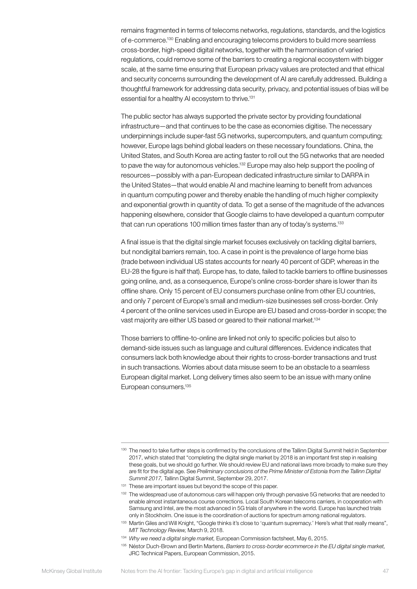remains fragmented in terms of telecoms networks, regulations, standards, and the logistics of e-commerce.130 Enabling and encouraging telecoms providers to build more seamless cross-border, high-speed digital networks, together with the harmonisation of varied regulations, could remove some of the barriers to creating a regional ecosystem with bigger scale, at the same time ensuring that European privacy values are protected and that ethical and security concerns surrounding the development of AI are carefully addressed. Building a thoughtful framework for addressing data security, privacy, and potential issues of bias will be essential for a healthy AI ecosystem to thrive.<sup>131</sup>

The public sector has always supported the private sector by providing foundational infrastructure—and that continues to be the case as economies digitise. The necessary underpinnings include super-fast 5G networks, supercomputers, and quantum computing; however, Europe lags behind global leaders on these necessary foundations. China, the United States, and South Korea are acting faster to roll out the 5G networks that are needed to pave the way for autonomous vehicles.<sup>132</sup> Europe may also help support the pooling of resources—possibly with a pan-European dedicated infrastructure similar to DARPA in the United States—that would enable AI and machine learning to benefit from advances in quantum computing power and thereby enable the handling of much higher complexity and exponential growth in quantity of data. To get a sense of the magnitude of the advances happening elsewhere, consider that Google claims to have developed a quantum computer that can run operations 100 million times faster than any of today's systems.<sup>133</sup>

A final issue is that the digital single market focuses exclusively on tackling digital barriers, but nondigital barriers remain, too. A case in point is the prevalence of large home bias (trade between individual US states accounts for nearly 40 percent of GDP, whereas in the EU-28 the figure is half that). Europe has, to date, failed to tackle barriers to offline businesses going online, and, as a consequence, Europe's online cross-border share is lower than its offline share. Only 15 percent of EU consumers purchase online from other EU countries, and only 7 percent of Europe's small and medium-size businesses sell cross-border. Only 4 percent of the online services used in Europe are EU based and cross-border in scope; the vast majority are either US based or geared to their national market.<sup>134</sup>

Those barriers to offline-to-online are linked not only to specific policies but also to demand-side issues such as language and cultural differences. Evidence indicates that consumers lack both knowledge about their rights to cross-border transactions and trust in such transactions. Worries about data misuse seem to be an obstacle to a seamless European digital market. Long delivery times also seem to be an issue with many online European consumers.135

<sup>130</sup> The need to take further steps is confirmed by the conclusions of the Tallinn Digital Summit held in September 2017, which stated that "completing the digital single market by 2018 is an important first step in realising these goals, but we should go further. We should review EU and national laws more broadly to make sure they are fit for the digital age. See *Preliminary conclusions of the Prime Minister of Estonia from the Tallinn Digital Summit 2017,* Tallinn Digital Summit, September 29, 2017.

<sup>&</sup>lt;sup>131</sup> These are important issues but beyond the scope of this paper.

<sup>&</sup>lt;sup>132</sup> The widespread use of autonomous cars will happen only through pervasive 5G networks that are needed to enable almost instantaneous course corrections. Local South Korean telecoms carriers, in cooperation with Samsung and Intel, are the most advanced in 5G trials of anywhere in the world. Europe has launched trials only in Stockholm. One issue is the coordination of auctions for spectrum among national regulators.

<sup>133</sup> Martin Giles and Will Knight, "Google thinks it's close to 'quantum supremacy.' Here's what that really means", *MIT Technology Review,* March 9, 2018.

<sup>134</sup> *Why we need a digital single market,* European Commission factsheet, May 6, 2015.

<sup>135</sup> Néstor Duch-Brown and Bertin Martens, *Barriers to cross-border ecommerce in the EU digital single market,*  JRC Technical Papers, European Commission, 2015.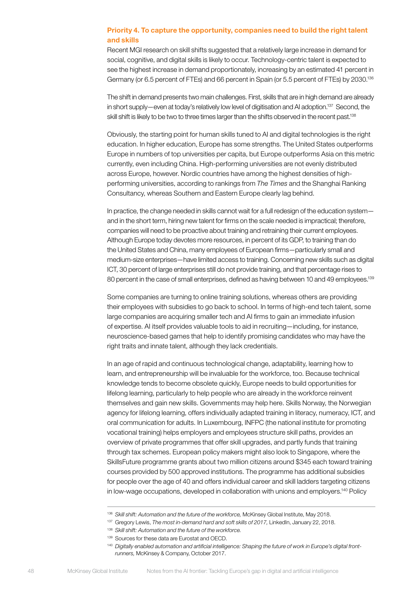### Priority 4. To capture the opportunity, companies need to build the right talent and skills

Recent MGI research on skill shifts suggested that a relatively large increase in demand for social, cognitive, and digital skills is likely to occur. Technology-centric talent is expected to see the highest increase in demand proportionately, increasing by an estimated 41 percent in Germany (or 6.5 percent of FTEs) and 66 percent in Spain (or 5.5 percent of FTEs) by 2030.<sup>136</sup>

The shift in demand presents two main challenges. First, skills that are in high demand are already in short supply—even at today's relatively low level of digitisation and AI adoption.<sup>137</sup> Second, the skill shift is likely to be two to three times larger than the shifts observed in the recent past.<sup>138</sup>

Obviously, the starting point for human skills tuned to AI and digital technologies is the right education. In higher education, Europe has some strengths. The United States outperforms Europe in numbers of top universities per capita, but Europe outperforms Asia on this metric currently, even including China. High-performing universities are not evenly distributed across Europe, however. Nordic countries have among the highest densities of highperforming universities, according to rankings from *The Times* and the Shanghai Ranking Consultancy, whereas Southern and Eastern Europe clearly lag behind.

In practice, the change needed in skills cannot wait for a full redesign of the education system and in the short term, hiring new talent for firms on the scale needed is impractical; therefore, companies will need to be proactive about training and retraining their current employees. Although Europe today devotes more resources, in percent of its GDP, to training than do the United States and China, many employees of European firms—particularly small and medium-size enterprises—have limited access to training. Concerning new skills such as digital ICT, 30 percent of large enterprises still do not provide training, and that percentage rises to 80 percent in the case of small enterprises, defined as having between 10 and 49 employees.<sup>139</sup>

Some companies are turning to online training solutions, whereas others are providing their employees with subsidies to go back to school. In terms of high-end tech talent, some large companies are acquiring smaller tech and AI firms to gain an immediate infusion of expertise. AI itself provides valuable tools to aid in recruiting—including, for instance, neuroscience-based games that help to identify promising candidates who may have the right traits and innate talent, although they lack credentials.

In an age of rapid and continuous technological change, adaptability, learning how to learn, and entrepreneurship will be invaluable for the workforce, too. Because technical knowledge tends to become obsolete quickly, Europe needs to build opportunities for lifelong learning, particularly to help people who are already in the workforce reinvent themselves and gain new skills. Governments may help here. Skills Norway, the Norwegian agency for lifelong learning, offers individually adapted training in literacy, numeracy, ICT, and oral communication for adults. In Luxembourg, INFPC (the national institute for promoting vocational training) helps employers and employees structure skill paths, provides an overview of private programmes that offer skill upgrades, and partly funds that training through tax schemes. European policy makers might also look to Singapore, where the SkillsFuture programme grants about two million citizens around \$345 each toward training courses provided by 500 approved institutions. The programme has additional subsidies for people over the age of 40 and offers individual career and skill ladders targeting citizens in low-wage occupations, developed in collaboration with unions and employers.140 Policy

<sup>136</sup> *Skill shift: Automation and the future of the workforce,* McKinsey Global Institute, May 2018.

<sup>137</sup> Gregory Lewis, *The most in-demand hard and soft skills of 2017,* LinkedIn, January 22, 2018.

<sup>138</sup> *Skill shift: Automation and the future of the workforce.*

<sup>139</sup> Sources for these data are Eurostat and OECD.

<sup>&</sup>lt;sup>140</sup> Digitally enabled automation and artificial intelligence: Shaping the future of work in Europe's digital front*runners,* McKinsey & Company, October 2017.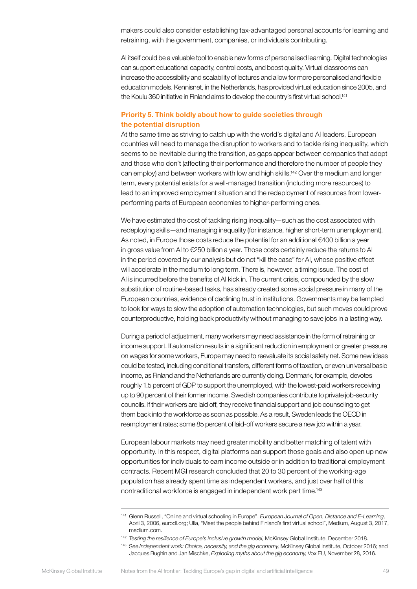makers could also consider establishing tax-advantaged personal accounts for learning and retraining, with the government, companies, or individuals contributing.

AI itself could be a valuable tool to enable new forms of personalised learning. Digital technologies can support educational capacity, control costs, and boost quality. Virtual classrooms can increase the accessibility and scalability of lectures and allow for more personalised and flexible education models. Kennisnet, in the Netherlands, has provided virtual education since 2005, and the Koulu 360 initiative in Finland aims to develop the country's first virtual school.<sup>141</sup>

# Priority 5. Think boldly about how to guide societies through the potential disruption

At the same time as striving to catch up with the world's digital and AI leaders, European countries will need to manage the disruption to workers and to tackle rising inequality, which seems to be inevitable during the transition, as gaps appear between companies that adopt and those who don't (affecting their performance and therefore the number of people they can employ) and between workers with low and high skills.142 Over the medium and longer term, every potential exists for a well-managed transition (including more resources) to lead to an improved employment situation and the redeployment of resources from lowerperforming parts of European economies to higher-performing ones.

We have estimated the cost of tackling rising inequality—such as the cost associated with redeploying skills—and managing inequality (for instance, higher short-term unemployment). As noted, in Europe those costs reduce the potential for an additional  $€400$  billion a year in gross value from AI to €250 billion a year. Those costs certainly reduce the returns to AI in the period covered by our analysis but do not "kill the case" for AI, whose positive effect will accelerate in the medium to long term. There is, however, a timing issue. The cost of AI is incurred before the benefits of AI kick in. The current crisis, compounded by the slow substitution of routine-based tasks, has already created some social pressure in many of the European countries, evidence of declining trust in institutions. Governments may be tempted to look for ways to slow the adoption of automation technologies, but such moves could prove counterproductive, holding back productivity without managing to save jobs in a lasting way.

During a period of adjustment, many workers may need assistance in the form of retraining or income support. If automation results in a significant reduction in employment or greater pressure on wages for some workers, Europe may need to reevaluate its social safety net. Some new ideas could be tested, including conditional transfers, different forms of taxation, or even universal basic income, as Finland and the Netherlands are currently doing. Denmark, for example, devotes roughly 1.5 percent of GDP to support the unemployed, with the lowest-paid workers receiving up to 90 percent of their former income. Swedish companies contribute to private job-security councils. If their workers are laid off, they receive financial support and job counseling to get them back into the workforce as soon as possible. As a result, Sweden leads the OECD in reemployment rates; some 85 percent of laid-off workers secure a new job within a year.

European labour markets may need greater mobility and better matching of talent with opportunity. In this respect, digital platforms can support those goals and also open up new opportunities for individuals to earn income outside or in addition to traditional employment contracts. Recent MGI research concluded that 20 to 30 percent of the working-age population has already spent time as independent workers, and just over half of this nontraditional workforce is engaged in independent work part time.143

<sup>141</sup> Glenn Russell, "Online and virtual schooling in Europe", *European Journal of Open, Distance and E-Learning,*  April 3, 2006, eurodl.org; Ulla, "Meet the people behind Finland's first virtual school", Medium, August 3, 2017, medium.com.

<sup>142</sup> *Testing the resilience of Europe's inclusive growth model,* McKinsey Global Institute, December 2018.

<sup>143</sup> See *Independent work: Choice, necessity, and the gig economy,* McKinsey Global Institute, October 2016; and Jacques Bughin and Jan Mischke, *Exploding myths about the gig economy,* Vox EU, November 28, 2016.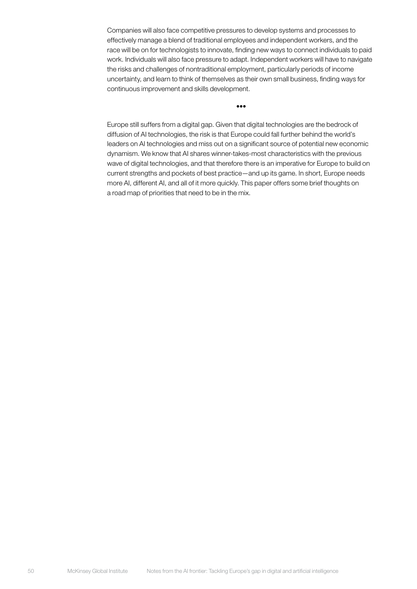Companies will also face competitive pressures to develop systems and processes to effectively manage a blend of traditional employees and independent workers, and the race will be on for technologists to innovate, finding new ways to connect individuals to paid work. Individuals will also face pressure to adapt. Independent workers will have to navigate the risks and challenges of nontraditional employment, particularly periods of income uncertainty, and learn to think of themselves as their own small business, finding ways for continuous improvement and skills development.

•••

Europe still suffers from a digital gap. Given that digital technologies are the bedrock of diffusion of AI technologies, the risk is that Europe could fall further behind the world's leaders on AI technologies and miss out on a significant source of potential new economic dynamism. We know that AI shares winner-takes-most characteristics with the previous wave of digital technologies, and that therefore there is an imperative for Europe to build on current strengths and pockets of best practice—and up its game. In short, Europe needs more AI, different AI, and all of it more quickly. This paper offers some brief thoughts on a road map of priorities that need to be in the mix.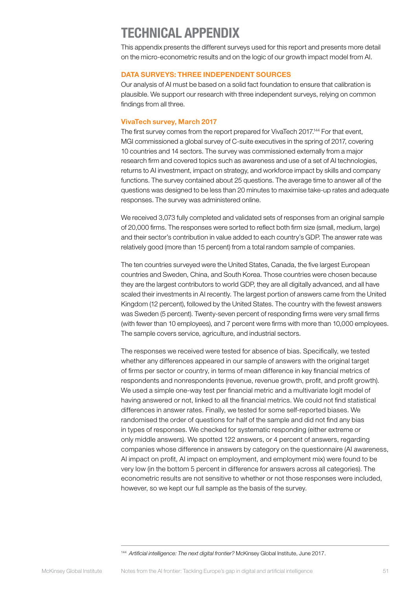# <span id="page-52-0"></span>TECHNICAL APPENDIX

This appendix presents the different surveys used for this report and presents more detail on the micro-econometric results and on the logic of our growth impact model from AI.

### DATA SURVEYS: THREE INDEPENDENT SOURCES

Our analysis of AI must be based on a solid fact foundation to ensure that calibration is plausible. We support our research with three independent surveys, relying on common findings from all three.

### VivaTech survey, March 2017

The first survey comes from the report prepared for VivaTech 2017.144 For that event, MGI commissioned a global survey of C-suite executives in the spring of 2017, covering 10 countries and 14 sectors. The survey was commissioned externally from a major research firm and covered topics such as awareness and use of a set of AI technologies, returns to AI investment, impact on strategy, and workforce impact by skills and company functions. The survey contained about 25 questions. The average time to answer all of the questions was designed to be less than 20 minutes to maximise take-up rates and adequate responses. The survey was administered online.

We received 3,073 fully completed and validated sets of responses from an original sample of 20,000 firms. The responses were sorted to reflect both firm size (small, medium, large) and their sector's contribution in value added to each country's GDP. The answer rate was relatively good (more than 15 percent) from a total random sample of companies.

The ten countries surveyed were the United States, Canada, the five largest European countries and Sweden, China, and South Korea. Those countries were chosen because they are the largest contributors to world GDP, they are all digitally advanced, and all have scaled their investments in AI recently. The largest portion of answers came from the United Kingdom (12 percent), followed by the United States. The country with the fewest answers was Sweden (5 percent). Twenty-seven percent of responding firms were very small firms (with fewer than 10 employees), and 7 percent were firms with more than 10,000 employees. The sample covers service, agriculture, and industrial sectors.

The responses we received were tested for absence of bias. Specifically, we tested whether any differences appeared in our sample of answers with the original target of firms per sector or country, in terms of mean difference in key financial metrics of respondents and nonrespondents (revenue, revenue growth, profit, and profit growth). We used a simple one-way test per financial metric and a multivariate logit model of having answered or not, linked to all the financial metrics. We could not find statistical differences in answer rates. Finally, we tested for some self-reported biases. We randomised the order of questions for half of the sample and did not find any bias in types of responses. We checked for systematic responding (either extreme or only middle answers). We spotted 122 answers, or 4 percent of answers, regarding companies whose difference in answers by category on the questionnaire (AI awareness, AI impact on profit, AI impact on employment, and employment mix) were found to be very low (in the bottom 5 percent in difference for answers across all categories). The econometric results are not sensitive to whether or not those responses were included, however, so we kept our full sample as the basis of the survey.

<sup>144</sup> *Artificial intelligence: The next digital frontier?* McKinsey Global Institute, June 2017.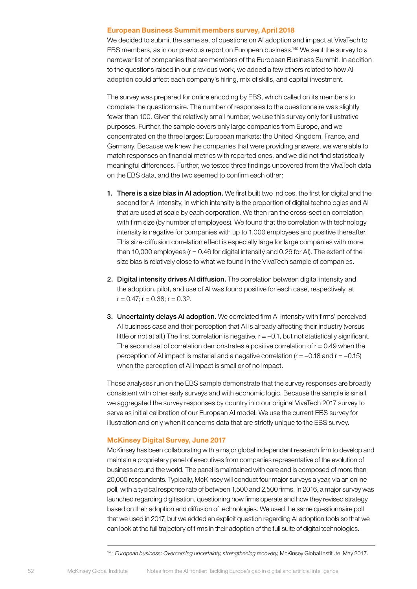#### European Business Summit members survey, April 2018

We decided to submit the same set of questions on AI adoption and impact at VivaTech to EBS members, as in our previous report on European business.145 We sent the survey to a narrower list of companies that are members of the European Business Summit. In addition to the questions raised in our previous work, we added a few others related to how AI adoption could affect each company's hiring, mix of skills, and capital investment.

The survey was prepared for online encoding by EBS, which called on its members to complete the questionnaire. The number of responses to the questionnaire was slightly fewer than 100. Given the relatively small number, we use this survey only for illustrative purposes. Further, the sample covers only large companies from Europe, and we concentrated on the three largest European markets: the United Kingdom, France, and Germany. Because we knew the companies that were providing answers, we were able to match responses on financial metrics with reported ones, and we did not find statistically meaningful differences. Further, we tested three findings uncovered from the VivaTech data on the EBS data, and the two seemed to confirm each other:

- 1. There is a size bias in AI adoption. We first built two indices, the first for digital and the second for AI intensity, in which intensity is the proportion of digital technologies and AI that are used at scale by each corporation. We then ran the cross-section correlation with firm size (by number of employees). We found that the correlation with technology intensity is negative for companies with up to 1,000 employees and positive thereafter. This size-diffusion correlation effect is especially large for large companies with more than 10,000 employees ( $r = 0.46$  for digital intensity and 0.26 for AI). The extent of the size bias is relatively close to what we found in the VivaTech sample of companies.
- 2. Digital intensity drives AI diffusion. The correlation between digital intensity and the adoption, pilot, and use of AI was found positive for each case, respectively, at  $r = 0.47$ ;  $r = 0.38$ ;  $r = 0.32$ .
- 3. Uncertainty delays AI adoption. We correlated firm AI intensity with firms' perceived AI business case and their perception that AI is already affecting their industry (versus little or not at all.) The first correlation is negative,  $r = -0.1$ , but not statistically significant. The second set of correlation demonstrates a positive correlation of  $r = 0.49$  when the perception of AI impact is material and a negative correlation ( $r = -0.18$  and  $r = -0.15$ ) when the perception of AI impact is small or of no impact.

Those analyses run on the EBS sample demonstrate that the survey responses are broadly consistent with other early surveys and with economic logic. Because the sample is small, we aggregated the survey responses by country into our original VivaTech 2017 survey to serve as initial calibration of our European AI model. We use the current EBS survey for illustration and only when it concerns data that are strictly unique to the EBS survey.

#### McKinsey Digital Survey, June 2017

McKinsey has been collaborating with a major global independent research firm to develop and maintain a proprietary panel of executives from companies representative of the evolution of business around the world. The panel is maintained with care and is composed of more than 20,000 respondents. Typically, McKinsey will conduct four major surveys a year, via an online poll, with a typical response rate of between 1,500 and 2,500 firms. In 2016, a major survey was launched regarding digitisation, questioning how firms operate and how they revised strategy based on their adoption and diffusion of technologies. We used the same questionnaire poll that we used in 2017, but we added an explicit question regarding AI adoption tools so that we can look at the full trajectory of firms in their adoption of the full suite of digital technologies.

<sup>145</sup> *European business: Overcoming uncertainty, strengthening recovery,* McKinsey Global Institute, May 2017.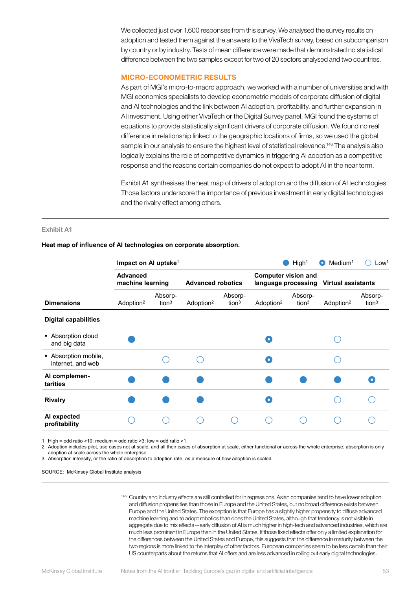We collected just over 1,600 responses from this survey. We analysed the survey results on adoption and tested them against the answers to the VivaTech survey, based on subcomparison by country or by industry. Tests of mean difference were made that demonstrated no statistical difference between the two samples except for two of 20 sectors analysed and two countries.

#### MICRO-ECONOMETRIC RESULTS

As part of MGI's micro-to-macro approach, we worked with a number of universities and with MGI economics specialists to develop econometric models of corporate diffusion of digital and AI technologies and the link between AI adoption, profitability, and further expansion in AI investment. Using either VivaTech or the Digital Survey panel, MGI found the systems of equations to provide statistically significant drivers of corporate diffusion. We found no real difference in relationship linked to the geographic locations of firms, so we used the global sample in our analysis to ensure the highest level of statistical relevance.<sup>146</sup> The analysis also logically explains the role of competitive dynamics in triggering AI adoption as a competitive response and the reasons certain companies do not expect to adopt AI in the near term.

Exhibit A1 synthesises the heat map of drivers of adoption and the diffusion of AI technologies. Those factors underscore the importance of previous investment in early digital technologies and the rivalry effect among others.

#### **Exhibit A1**

| $\overline{\phantom{a}}$ read map of immerice of Allectinologies on corporate absorption. |  |
|-------------------------------------------------------------------------------------------|--|
|                                                                                           |  |

**Heat map of influence of AI technologies on corporate absorption.**

|                                           | Impact on AI uptake <sup>1</sup>    |                              |                          |                              | High <sup>1</sup><br>Medium <sup>1</sup><br>Low <sup>1</sup><br>$\bullet$ |                              |                       |                              |  |
|-------------------------------------------|-------------------------------------|------------------------------|--------------------------|------------------------------|---------------------------------------------------------------------------|------------------------------|-----------------------|------------------------------|--|
|                                           | <b>Advanced</b><br>machine learning |                              | <b>Advanced robotics</b> |                              | <b>Computer vision and</b><br>language processing Virtual assistants      |                              |                       |                              |  |
| <b>Dimensions</b>                         | Adoption <sup>2</sup>               | Absorp-<br>tion <sup>3</sup> | Adoption <sup>2</sup>    | Absorp-<br>tion <sup>3</sup> | Adoption <sup>2</sup>                                                     | Absorp-<br>tion <sup>3</sup> | Adoption <sup>2</sup> | Absorp-<br>tion <sup>3</sup> |  |
| <b>Digital capabilities</b>               |                                     |                              |                          |                              |                                                                           |                              |                       |                              |  |
| • Absorption cloud<br>and big data        |                                     |                              |                          |                              | O                                                                         |                              |                       |                              |  |
| • Absorption mobile,<br>internet, and web |                                     |                              |                          |                              | O                                                                         |                              |                       |                              |  |
| Al complemen-<br>tarities                 |                                     |                              |                          |                              |                                                                           |                              |                       |                              |  |
| <b>Rivalry</b>                            |                                     |                              |                          |                              | O                                                                         |                              |                       |                              |  |
| Al expected<br>profitability              |                                     |                              |                          |                              |                                                                           |                              |                       |                              |  |

1 High = odd ratio >10; medium = odd ratio >3; low = odd ratio >1.

2 Adoption includes pilot, use cases not at scale, and all their cases of absorption at scale, either functional or across the whole enterprise; absorption is only adoption at scale across the whole enterprise.

3 Absorption intensity, or the ratio of absorption to adoption rate, as a measure of how adoption is scaled.

SOURCE: McKinsey Global Institute analysis

146 Country and industry effects are still controlled for in regressions. Asian companies tend to have lower adoption and diffusion propensities than those in Europe and the United States, but no broad difference exists between Europe and the United States. The exception is that Europe has a slightly higher propensity to diffuse advanced machine learning and to adopt robotics than does the United States, although that tendency is not visible in aggregate due to mix effects—early diffusion of AI is much higher in high-tech and advanced industries, which are much less prominent in Europe than in the United States. If those fixed effects offer only a limited explanation for the differences between the United States and Europe, this suggests that the difference in maturity between the two regions is more linked to the interplay of other factors. European companies seem to be less certain than their US counterparts about the returns that AI offers and are less advanced in rolling out early digital technologies.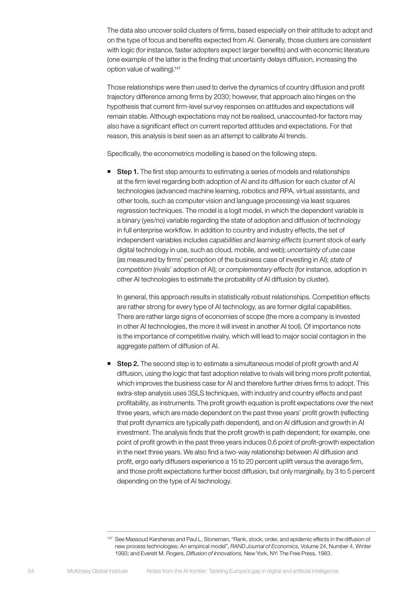The data also uncover solid clusters of firms, based especially on their attitude to adopt and on the type of focus and benefits expected from AI. Generally, those clusters are consistent with logic (for instance, faster adopters expect larger benefits) and with economic literature (one example of the latter is the finding that uncertainty delays diffusion, increasing the option value of waiting).147

Those relationships were then used to derive the dynamics of country diffusion and profit trajectory difference among firms by 2030; however, that approach also hinges on the hypothesis that current firm-level survey responses on attitudes and expectations will remain stable. Although expectations may not be realised, unaccounted-for factors may also have a significant effect on current reported attitudes and expectations. For that reason, this analysis is best seen as an attempt to calibrate AI trends.

Specifically, the econometrics modelling is based on the following steps.

**Step 1.** The first step amounts to estimating a series of models and relationships at the firm level regarding both adoption of AI and its diffusion for each cluster of AI technologies (advanced machine learning, robotics and RPA, virtual assistants, and other tools, such as computer vision and language processing) via least squares regression techniques. The model is a logit model, in which the dependent variable is a binary (yes/no) variable regarding the state of adoption and diffusion of technology in full enterprise workflow. In addition to country and industry effects, the set of independent variables includes *capabilities and learning effects* (current stock of early digital technology in use, such as cloud, mobile, and web); *uncertainty of use case* (as measured by firms' perception of the business case of investing in AI); *state of competition* (rivals' adoption of AI); or *complementary effects* (for instance, adoption in other AI technologies to estimate the probability of AI diffusion by cluster).

In general, this approach results in statistically robust relationships. Competition effects are rather strong for every type of AI technology, as are former digital capabilities. There are rather large signs of economies of scope (the more a company is invested in other AI technologies, the more it will invest in another AI tool). Of importance note is the importance of competitive rivalry, which will lead to major social contagion in the aggregate pattern of diffusion of AI.

**Step 2.** The second step is to estimate a simultaneous model of profit growth and AI diffusion, using the logic that fast adoption relative to rivals will bring more profit potential, which improves the business case for AI and therefore further drives firms to adopt. This extra-step analysis uses 3SLS techniques, with industry and country effects and past profitability, as instruments. The profit growth equation is profit expectations over the next three years, which are made dependent on the past three years' profit growth (reflecting that profit dynamics are typically path dependent), and on AI diffusion and growth in AI investment. The analysis finds that the profit growth is path dependent; for example, one point of profit growth in the past three years induces 0.6 point of profit-growth expectation in the next three years. We also find a two-way relationship between AI diffusion and profit, ergo early diffusers experience a 15 to 20 percent uplift versus the average firm, and those profit expectations further boost diffusion, but only marginally, by 3 to 5 percent depending on the type of AI technology.

<sup>147</sup> See Massoud Karshenas and Paul L. Stoneman, "Rank, stock, order, and epidemic effects in the diffusion of new process technologies: An empirical model", *RAND Journal of Economics,* Volume 24, Number 4, Winter 1993; and Everett M. Rogers, *Diffusion of Innovations,* New York, NY: The Free Press, 1983.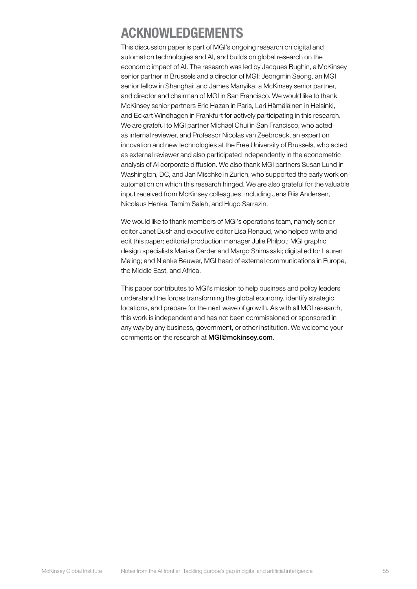# ACKNOWLEDGEMENTS

This discussion paper is part of MGI's ongoing research on digital and automation technologies and AI, and builds on global research on the economic impact of AI. The research was led by Jacques Bughin, a McKinsey senior partner in Brussels and a director of MGI; Jeongmin Seong, an MGI senior fellow in Shanghai; and James Manyika, a McKinsey senior partner, and director and chairman of MGI in San Francisco. We would like to thank McKinsey senior partners Eric Hazan in Paris, Lari Hämäläinen in Helsinki, and Eckart Windhagen in Frankfurt for actively participating in this research. We are grateful to MGI partner Michael Chui in San Francisco, who acted as internal reviewer, and Professor Nicolas van Zeebroeck, an expert on innovation and new technologies at the Free University of Brussels, who acted as external reviewer and also participated independently in the econometric analysis of AI corporate diffusion. We also thank MGI partners Susan Lund in Washington, DC, and Jan Mischke in Zurich, who supported the early work on automation on which this research hinged. We are also grateful for the valuable input received from McKinsey colleagues, including Jens Riis Andersen, Nicolaus Henke, Tamim Saleh, and Hugo Sarrazin.

We would like to thank members of MGI's operations team, namely senior editor Janet Bush and executive editor Lisa Renaud, who helped write and edit this paper; editorial production manager Julie Philpot; MGI graphic design specialists Marisa Carder and Margo Shimasaki; digital editor Lauren Meling; and Nienke Beuwer, MGI head of external communications in Europe, the Middle East, and Africa.

This paper contributes to MGI's mission to help business and policy leaders understand the forces transforming the global economy, identify strategic locations, and prepare for the next wave of growth. As with all MGI research, this work is independent and has not been commissioned or sponsored in any way by any business, government, or other institution. We welcome your comments on the research at [MGI@mckinsey.com](mailto:MGI%40mckinsey.com?subject=).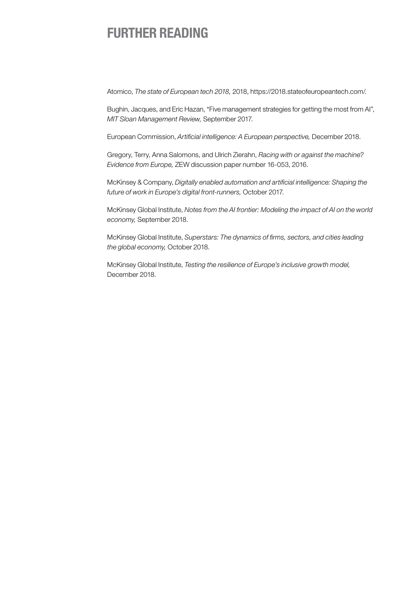# FURTHER READING

Atomico, *The state of European tech 2018,* 2018, https://2018.stateofeuropeantech.com/.

Bughin, Jacques, and Eric Hazan, "Five management strategies for getting the most from AI", *MIT Sloan Management Review,* September 2017.

European Commission, *Artificial intelligence: A European perspective,* December 2018.

Gregory, Terry, Anna Salomons, and Ulrich Zierahn, *Racing with or against the machine? Evidence from Europe,* ZEW discussion paper number 16-053, 2016.

McKinsey & Company, *Digitally enabled automation and artificial intelligence: Shaping the future of work in Europe's digital front-runners,* October 2017.

McKinsey Global Institute, *Notes from the AI frontier: Modeling the impact of AI on the world economy,* September 2018.

McKinsey Global Institute, *Superstars: The dynamics of firms, sectors, and cities leading the global economy,* October 2018.

McKinsey Global Institute, *Testing the resilience of Europe's inclusive growth model,* December 2018.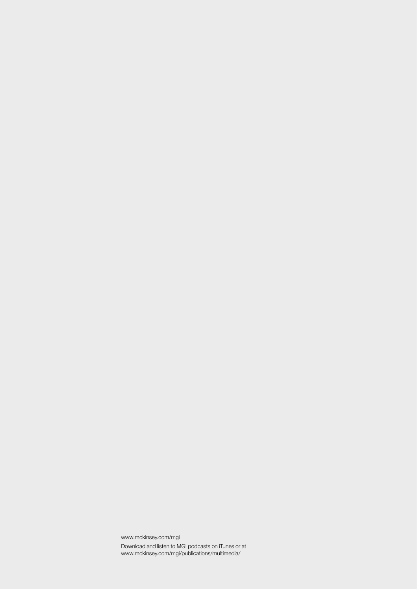www.mckinsey.com/mgi Download and listen to MGI podcasts on iTunes or at www.mckinsey.com/mgi/publications/multimedia/